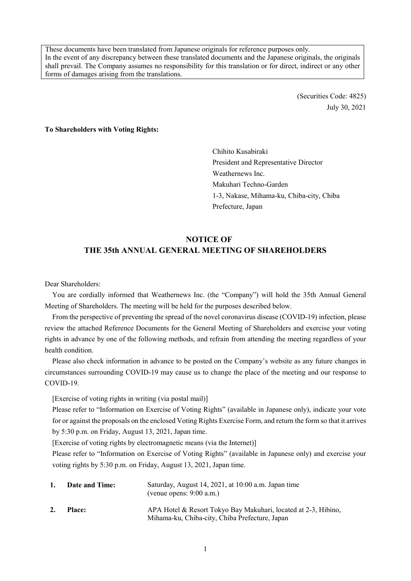These documents have been translated from Japanese originals for reference purposes only. In the event of any discrepancy between these translated documents and the Japanese originals, the originals shall prevail. The Company assumes no responsibility for this translation or for direct, indirect or any other forms of damages arising from the translations.

> (Securities Code: 4825) July 30, 2021

**To Shareholders with Voting Rights:** 

Chihito Kusabiraki President and Representative Director Weathernews Inc. Makuhari Techno-Garden 1-3, Nakase, Mihama-ku, Chiba-city, Chiba Prefecture, Japan

# **NOTICE OF THE 35th ANNUAL GENERAL MEETING OF SHAREHOLDERS**

Dear Shareholders:

You are cordially informed that Weathernews Inc. (the "Company") will hold the 35th Annual General Meeting of Shareholders. The meeting will be held for the purposes described below.

From the perspective of preventing the spread of the novel coronavirus disease (COVID-19) infection, please review the attached Reference Documents for the General Meeting of Shareholders and exercise your voting rights in advance by one of the following methods, and refrain from attending the meeting regardless of your health condition.

Please also check information in advance to be posted on the Company's website as any future changes in circumstances surrounding COVID-19 may cause us to change the place of the meeting and our response to COVID-19.

[Exercise of voting rights in writing (via postal mail)]

Please refer to "Information on Exercise of Voting Rights" (available in Japanese only), indicate your vote for or against the proposals on the enclosed Voting Rights Exercise Form, and return the form so that it arrives by 5:30 p.m. on Friday, August 13, 2021, Japan time.

[Exercise of voting rights by electromagnetic means (via the Internet)]

Please refer to "Information on Exercise of Voting Rights" (available in Japanese only) and exercise your voting rights by 5:30 p.m. on Friday, August 13, 2021, Japan time.

| 1. | <b>Date and Time:</b> | Saturday, August 14, 2021, at 10:00 a.m. Japan time<br>(venue opens: $9:00$ a.m.)                                |
|----|-----------------------|------------------------------------------------------------------------------------------------------------------|
| 2. | <b>Place:</b>         | APA Hotel & Resort Tokyo Bay Makuhari, located at 2-3, Hibino,<br>Mihama-ku, Chiba-city, Chiba Prefecture, Japan |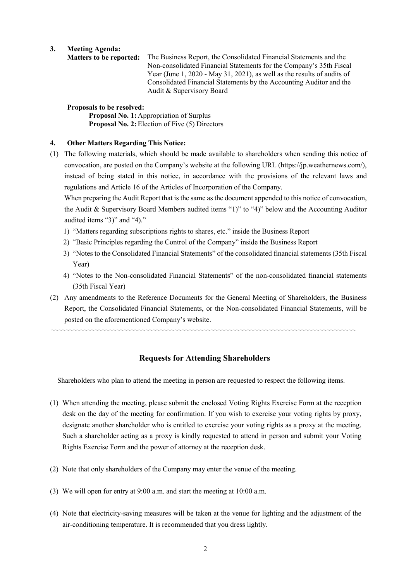**3. Meeting Agenda:** 

 **Matters to be reported:** The Business Report, the Consolidated Financial Statements and the Non-consolidated Financial Statements for the Company's 35th Fiscal Year (June 1, 2020 - May 31, 2021), as well as the results of audits of Consolidated Financial Statements by the Accounting Auditor and the Audit & Supervisory Board

## **Proposals to be resolved:**

Proposal No. 1: Appropriation of Surplus **Proposal No. 2:** Election of Five (5) Directors

## **4. Other Matters Regarding This Notice:**

(1) The following materials, which should be made available to shareholders when sending this notice of convocation, are posted on the Company's website at the following URL (https://jp.weathernews.com/), instead of being stated in this notice, in accordance with the provisions of the relevant laws and regulations and Article 16 of the Articles of Incorporation of the Company.

 When preparing the Audit Report that is the same as the document appended to this notice of convocation, the Audit & Supervisory Board Members audited items "1)" to "4)" below and the Accounting Auditor audited items "3)" and "4)."

- 1) "Matters regarding subscriptions rights to shares, etc." inside the Business Report
- 2) "Basic Principles regarding the Control of the Company" inside the Business Report
- 3) "Notes to the Consolidated Financial Statements" of the consolidated financial statements (35th Fiscal Year)
- 4) "Notes to the Non-consolidated Financial Statements" of the non-consolidated financial statements (35th Fiscal Year)
- (2) Any amendments to the Reference Documents for the General Meeting of Shareholders, the Business Report, the Consolidated Financial Statements, or the Non-consolidated Financial Statements, will be posted on the aforementioned Company's website.

# **Requests for Attending Shareholders**

〰〰〰〰〰〰〰〰〰〰〰〰〰〰〰〰〰〰〰〰〰〰〰〰〰〰〰〰〰〰〰〰〰〰〰〰〰〰〰〰〰〰

Shareholders who plan to attend the meeting in person are requested to respect the following items.

- (1) When attending the meeting, please submit the enclosed Voting Rights Exercise Form at the reception desk on the day of the meeting for confirmation. If you wish to exercise your voting rights by proxy, designate another shareholder who is entitled to exercise your voting rights as a proxy at the meeting. Such a shareholder acting as a proxy is kindly requested to attend in person and submit your Voting Rights Exercise Form and the power of attorney at the reception desk.
- (2) Note that only shareholders of the Company may enter the venue of the meeting.
- (3) We will open for entry at 9:00 a.m. and start the meeting at 10:00 a.m.
- (4) Note that electricity-saving measures will be taken at the venue for lighting and the adjustment of the air-conditioning temperature. It is recommended that you dress lightly.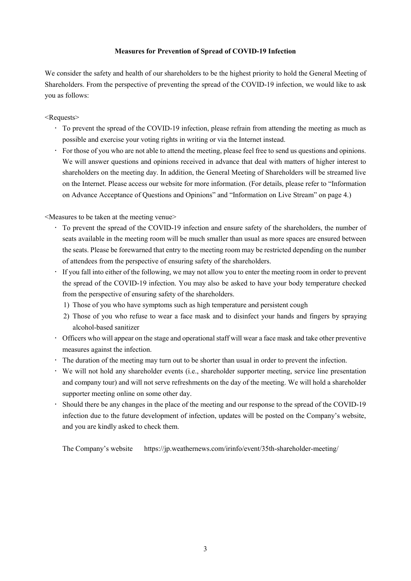## **Measures for Prevention of Spread of COVID-19 Infection**

We consider the safety and health of our shareholders to be the highest priority to hold the General Meeting of Shareholders. From the perspective of preventing the spread of the COVID-19 infection, we would like to ask you as follows:

## <Requests>

- To prevent the spread of the COVID-19 infection, please refrain from attending the meeting as much as possible and exercise your voting rights in writing or via the Internet instead.
- For those of you who are not able to attend the meeting, please feel free to send us questions and opinions. We will answer questions and opinions received in advance that deal with matters of higher interest to shareholders on the meeting day. In addition, the General Meeting of Shareholders will be streamed live on the Internet. Please access our website for more information. (For details, please refer to "Information on Advance Acceptance of Questions and Opinions" and "Information on Live Stream" on page 4.)

<Measures to be taken at the meeting venue>

- To prevent the spread of the COVID-19 infection and ensure safety of the shareholders, the number of seats available in the meeting room will be much smaller than usual as more spaces are ensured between the seats. Please be forewarned that entry to the meeting room may be restricted depending on the number of attendees from the perspective of ensuring safety of the shareholders.
- If you fall into either of the following, we may not allow you to enter the meeting room in order to prevent the spread of the COVID-19 infection. You may also be asked to have your body temperature checked from the perspective of ensuring safety of the shareholders.
	- 1) Those of you who have symptoms such as high temperature and persistent cough
	- 2) Those of you who refuse to wear a face mask and to disinfect your hands and fingers by spraying alcohol-based sanitizer
- Officers who will appear on the stage and operational staff will wear a face mask and take other preventive measures against the infection.
- The duration of the meeting may turn out to be shorter than usual in order to prevent the infection.
- We will not hold any shareholder events (i.e., shareholder supporter meeting, service line presentation and company tour) and will not serve refreshments on the day of the meeting. We will hold a shareholder supporter meeting online on some other day.
- Should there be any changes in the place of the meeting and our response to the spread of the COVID-19 infection due to the future development of infection, updates will be posted on the Company's website, and you are kindly asked to check them.

The Company's website https://jp.weathernews.com/irinfo/event/35th-shareholder-meeting/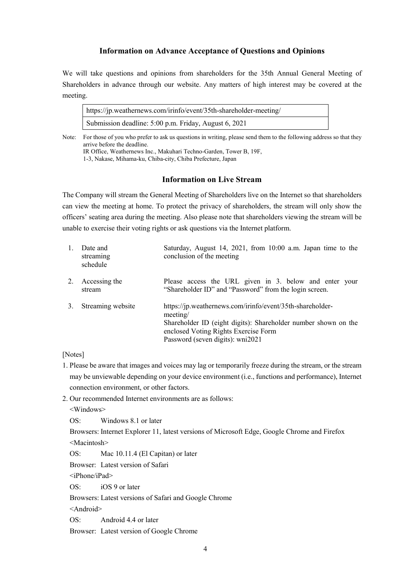## **Information on Advance Acceptance of Questions and Opinions**

We will take questions and opinions from shareholders for the 35th Annual General Meeting of Shareholders in advance through our website. Any matters of high interest may be covered at the meeting.

https://jp.weathernews.com/irinfo/event/35th-shareholder-meeting/ Submission deadline: 5:00 p.m. Friday, August 6, 2021

Note: For those of you who prefer to ask us questions in writing, please send them to the following address so that they arrive before the deadline. IR Office, Weathernews Inc., Makuhari Techno-Garden, Tower B, 19F,

1-3, Nakase, Mihama-ku, Chiba-city, Chiba Prefecture, Japan

# **Information on Live Stream**

The Company will stream the General Meeting of Shareholders live on the Internet so that shareholders can view the meeting at home. To protect the privacy of shareholders, the stream will only show the officers' seating area during the meeting. Also please note that shareholders viewing the stream will be unable to exercise their voting rights or ask questions via the Internet platform.

| 1. | Date and<br>streaming<br>schedule | Saturday, August 14, 2021, from 10:00 a.m. Japan time to the<br>conclusion of the meeting                                                                                                                           |
|----|-----------------------------------|---------------------------------------------------------------------------------------------------------------------------------------------------------------------------------------------------------------------|
| 2. | Accessing the<br>stream           | Please access the URL given in 3. below and enter your<br>"Shareholder ID" and "Password" from the login screen.                                                                                                    |
| 3. | Streaming website                 | https://jp.weathernews.com/irinfo/event/35th-shareholder-<br>meeting/<br>Shareholder ID (eight digits): Shareholder number shown on the<br>enclosed Voting Rights Exercise Form<br>Password (seven digits): wni2021 |

[Notes]

- 1. Please be aware that images and voices may lag or temporarily freeze during the stream, or the stream may be unviewable depending on your device environment (i.e., functions and performance), Internet connection environment, or other factors.
- 2. Our recommended Internet environments are as follows:

<Windows>

OS: Windows 8.1 or later

Browsers: Internet Explorer 11, latest versions of Microsoft Edge, Google Chrome and Firefox <Macintosh>

OS: Mac 10.11.4 (El Capitan) or later

Browser: Latest version of Safari

<iPhone/iPad>

OS: iOS 9 or later

Browsers: Latest versions of Safari and Google Chrome

<Android>

OS: Android 4.4 or later

Browser: Latest version of Google Chrome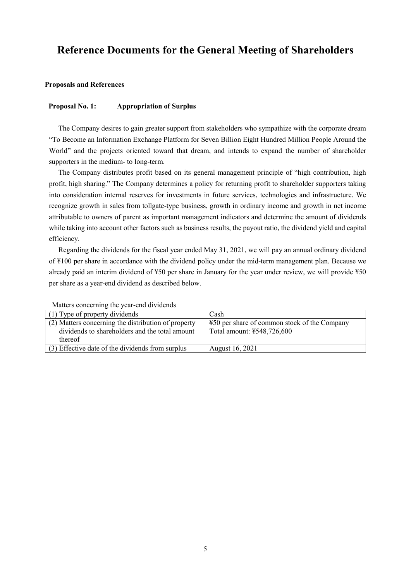# **Reference Documents for the General Meeting of Shareholders**

### **Proposals and References**

#### **Proposal No. 1: Appropriation of Surplus**

The Company desires to gain greater support from stakeholders who sympathize with the corporate dream "To Become an Information Exchange Platform for Seven Billion Eight Hundred Million People Around the World" and the projects oriented toward that dream, and intends to expand the number of shareholder supporters in the medium- to long-term.

The Company distributes profit based on its general management principle of "high contribution, high profit, high sharing." The Company determines a policy for returning profit to shareholder supporters taking into consideration internal reserves for investments in future services, technologies and infrastructure. We recognize growth in sales from tollgate-type business, growth in ordinary income and growth in net income attributable to owners of parent as important management indicators and determine the amount of dividends while taking into account other factors such as business results, the payout ratio, the dividend yield and capital efficiency.

Regarding the dividends for the fiscal year ended May 31, 2021, we will pay an annual ordinary dividend of ¥100 per share in accordance with the dividend policy under the mid-term management plan. Because we already paid an interim dividend of ¥50 per share in January for the year under review, we will provide ¥50 per share as a year-end dividend as described below.

| (1) Type of property dividends                      | Cash                                         |
|-----------------------------------------------------|----------------------------------------------|
| (2) Matters concerning the distribution of property | ¥50 per share of common stock of the Company |
| dividends to shareholders and the total amount      | Total amount: ¥548,726,600                   |
| thereof                                             |                                              |
| (3) Effective date of the dividends from surplus    | August 16, 2021                              |

Matters concerning the year-end dividends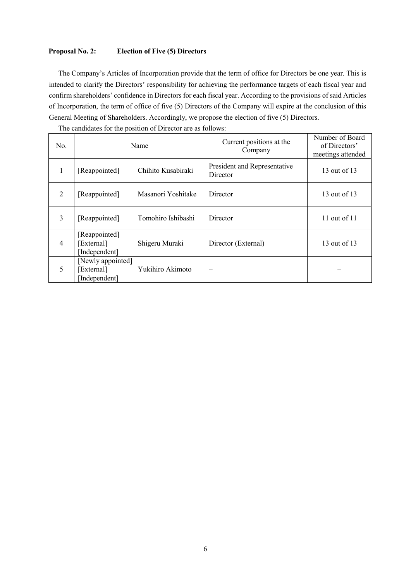# **Proposal No. 2: Election of Five (5) Directors**

The Company's Articles of Incorporation provide that the term of office for Directors be one year. This is intended to clarify the Directors' responsibility for achieving the performance targets of each fiscal year and confirm shareholders' confidence in Directors for each fiscal year. According to the provisions of said Articles of Incorporation, the term of office of five (5) Directors of the Company will expire at the conclusion of this General Meeting of Shareholders. Accordingly, we propose the election of five (5) Directors.

| No.            |                                                  | Name               | Current positions at the<br>Company      | Number of Board<br>of Directors'<br>meetings attended |
|----------------|--------------------------------------------------|--------------------|------------------------------------------|-------------------------------------------------------|
| 1              | [Reappointed]                                    | Chihito Kusabiraki | President and Representative<br>Director | 13 out of 13                                          |
| 2              | [Reappointed]                                    | Masanori Yoshitake | Director                                 | 13 out of 13                                          |
| 3              | [Reappointed]                                    | Tomohiro Ishibashi | Director                                 | 11 out of $11$                                        |
| $\overline{4}$ | [Reappointed]<br>[External]<br>[Independent]     | Shigeru Muraki     | Director (External)                      | 13 out of 13                                          |
| 5              | [Newly appointed]<br>[External]<br>[Independent] | Yukihiro Akimoto   |                                          |                                                       |

The candidates for the position of Director are as follows: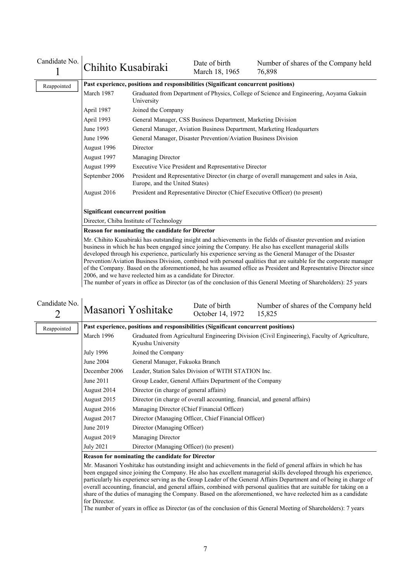| Candidate No. | Chihito Kusabiraki                                                                                                                                                                                                                                                                                                                                                                                                                                                                                                                                                                                                                                                                                                                                                              |                                                                                                                             | Date of birth<br>March 18, 1965                                                         | Number of shares of the Company held<br>76,898                               |  |  |  |  |  |
|---------------|---------------------------------------------------------------------------------------------------------------------------------------------------------------------------------------------------------------------------------------------------------------------------------------------------------------------------------------------------------------------------------------------------------------------------------------------------------------------------------------------------------------------------------------------------------------------------------------------------------------------------------------------------------------------------------------------------------------------------------------------------------------------------------|-----------------------------------------------------------------------------------------------------------------------------|-----------------------------------------------------------------------------------------|------------------------------------------------------------------------------|--|--|--|--|--|
| Reappointed   | Past experience, positions and responsibilities (Significant concurrent positions)                                                                                                                                                                                                                                                                                                                                                                                                                                                                                                                                                                                                                                                                                              |                                                                                                                             |                                                                                         |                                                                              |  |  |  |  |  |
|               | March 1987                                                                                                                                                                                                                                                                                                                                                                                                                                                                                                                                                                                                                                                                                                                                                                      | University                                                                                                                  | Graduated from Department of Physics, College of Science and Engineering, Aoyama Gakuin |                                                                              |  |  |  |  |  |
|               | April 1987                                                                                                                                                                                                                                                                                                                                                                                                                                                                                                                                                                                                                                                                                                                                                                      | Joined the Company                                                                                                          |                                                                                         |                                                                              |  |  |  |  |  |
|               | April 1993                                                                                                                                                                                                                                                                                                                                                                                                                                                                                                                                                                                                                                                                                                                                                                      |                                                                                                                             | General Manager, CSS Business Department, Marketing Division                            |                                                                              |  |  |  |  |  |
|               | June 1993                                                                                                                                                                                                                                                                                                                                                                                                                                                                                                                                                                                                                                                                                                                                                                       |                                                                                                                             |                                                                                         | General Manager, Aviation Business Department, Marketing Headquarters        |  |  |  |  |  |
|               | June 1996                                                                                                                                                                                                                                                                                                                                                                                                                                                                                                                                                                                                                                                                                                                                                                       |                                                                                                                             | General Manager, Disaster Prevention/Aviation Business Division                         |                                                                              |  |  |  |  |  |
|               | August 1996                                                                                                                                                                                                                                                                                                                                                                                                                                                                                                                                                                                                                                                                                                                                                                     | Director                                                                                                                    |                                                                                         |                                                                              |  |  |  |  |  |
|               | August 1997                                                                                                                                                                                                                                                                                                                                                                                                                                                                                                                                                                                                                                                                                                                                                                     | Managing Director                                                                                                           |                                                                                         |                                                                              |  |  |  |  |  |
|               | August 1999                                                                                                                                                                                                                                                                                                                                                                                                                                                                                                                                                                                                                                                                                                                                                                     |                                                                                                                             | Executive Vice President and Representative Director                                    |                                                                              |  |  |  |  |  |
|               | September 2006                                                                                                                                                                                                                                                                                                                                                                                                                                                                                                                                                                                                                                                                                                                                                                  | President and Representative Director (in charge of overall management and sales in Asia,<br>Europe, and the United States) |                                                                                         |                                                                              |  |  |  |  |  |
|               | August 2016                                                                                                                                                                                                                                                                                                                                                                                                                                                                                                                                                                                                                                                                                                                                                                     |                                                                                                                             |                                                                                         | President and Representative Director (Chief Executive Officer) (to present) |  |  |  |  |  |
|               |                                                                                                                                                                                                                                                                                                                                                                                                                                                                                                                                                                                                                                                                                                                                                                                 | <b>Significant concurrent position</b>                                                                                      |                                                                                         |                                                                              |  |  |  |  |  |
|               |                                                                                                                                                                                                                                                                                                                                                                                                                                                                                                                                                                                                                                                                                                                                                                                 | Director, Chiba Institute of Technology                                                                                     |                                                                                         |                                                                              |  |  |  |  |  |
|               | Reason for nominating the candidate for Director                                                                                                                                                                                                                                                                                                                                                                                                                                                                                                                                                                                                                                                                                                                                |                                                                                                                             |                                                                                         |                                                                              |  |  |  |  |  |
|               | Mr. Chihito Kusabiraki has outstanding insight and achievements in the fields of disaster prevention and aviation<br>business in which he has been engaged since joining the Company. He also has excellent managerial skills<br>developed through his experience, particularly his experience serving as the General Manager of the Disaster<br>Prevention/Aviation Business Division, combined with personal qualities that are suitable for the corporate manager<br>of the Company. Based on the aforementioned, he has assumed office as President and Representative Director since<br>2006, and we have reelected him as a candidate for Director.<br>The number of years in office as Director (as of the conclusion of this General Meeting of Shareholders): 25 years |                                                                                                                             |                                                                                         |                                                                              |  |  |  |  |  |

| Candidate No. |                                                                                    | Masanori Yoshitake                                   | Date of birth<br>October 14, 1972                                                             | Number of shares of the Company held<br>15,825 |  |  |  |  |
|---------------|------------------------------------------------------------------------------------|------------------------------------------------------|-----------------------------------------------------------------------------------------------|------------------------------------------------|--|--|--|--|
| Reappointed   | Past experience, positions and responsibilities (Significant concurrent positions) |                                                      |                                                                                               |                                                |  |  |  |  |
|               | March 1996                                                                         | Kyushu University                                    | Graduated from Agricultural Engineering Division (Civil Engineering), Faculty of Agriculture, |                                                |  |  |  |  |
|               | July 1996                                                                          | Joined the Company                                   |                                                                                               |                                                |  |  |  |  |
|               | June 2004<br>General Manager, Fukuoka Branch                                       |                                                      |                                                                                               |                                                |  |  |  |  |
|               | December 2006<br>Leader, Station Sales Division of WITH STATION Inc.               |                                                      |                                                                                               |                                                |  |  |  |  |
|               | June 2011                                                                          |                                                      | Group Leader, General Affairs Department of the Company                                       |                                                |  |  |  |  |
|               | August 2014                                                                        | Director (in charge of general affairs)              |                                                                                               |                                                |  |  |  |  |
|               | August 2015                                                                        |                                                      | Director (in charge of overall accounting, financial, and general affairs)                    |                                                |  |  |  |  |
|               | August 2016                                                                        | Managing Director (Chief Financial Officer)          |                                                                                               |                                                |  |  |  |  |
|               | August 2017                                                                        | Director (Managing Officer, Chief Financial Officer) |                                                                                               |                                                |  |  |  |  |
|               | June 2019                                                                          | Director (Managing Officer)                          |                                                                                               |                                                |  |  |  |  |
|               | August 2019                                                                        | Managing Director                                    |                                                                                               |                                                |  |  |  |  |
|               | July 2021                                                                          | Director (Managing Officer) (to present)             |                                                                                               |                                                |  |  |  |  |
|               |                                                                                    | Reason for nominating the candidate for Director     |                                                                                               |                                                |  |  |  |  |

Mr. Masanori Yoshitake has outstanding insight and achievements in the field of general affairs in which he has been engaged since joining the Company. He also has excellent managerial skills developed through his experience, particularly his experience serving as the Group Leader of the General Affairs Department and of being in charge of overall accounting, financial, and general affairs, combined with personal qualities that are suitable for taking on a share of the duties of managing the Company. Based on the aforementioned, we have reelected him as a candidate for Director.

The number of years in office as Director (as of the conclusion of this General Meeting of Shareholders): 7 years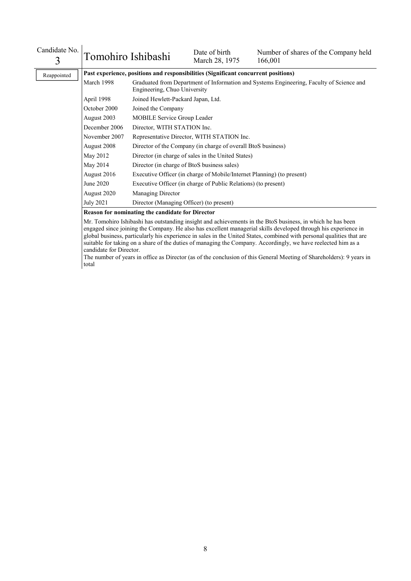| Candidate No.<br>3 | Tomohiro Ishibashi                                                                 |                                                                                                                          | Date of birth<br>March 28, 1975                                        | Number of shares of the Company held<br>166,001 |  |  |  |
|--------------------|------------------------------------------------------------------------------------|--------------------------------------------------------------------------------------------------------------------------|------------------------------------------------------------------------|-------------------------------------------------|--|--|--|
| Reappointed        | Past experience, positions and responsibilities (Significant concurrent positions) |                                                                                                                          |                                                                        |                                                 |  |  |  |
|                    | March 1998                                                                         | Graduated from Department of Information and Systems Engineering, Faculty of Science and<br>Engineering, Chuo University |                                                                        |                                                 |  |  |  |
|                    | April 1998<br>Joined Hewlett-Packard Japan, Ltd.                                   |                                                                                                                          |                                                                        |                                                 |  |  |  |
|                    | October 2000<br>Joined the Company                                                 |                                                                                                                          |                                                                        |                                                 |  |  |  |
|                    | August 2003                                                                        | MOBILE Service Group Leader                                                                                              |                                                                        |                                                 |  |  |  |
|                    | December 2006                                                                      | Director, WITH STATION Inc.                                                                                              |                                                                        |                                                 |  |  |  |
|                    | November 2007                                                                      |                                                                                                                          | Representative Director, WITH STATION Inc.                             |                                                 |  |  |  |
|                    | August 2008                                                                        |                                                                                                                          | Director of the Company (in charge of overall BtoS business)           |                                                 |  |  |  |
|                    | May 2012                                                                           |                                                                                                                          | Director (in charge of sales in the United States)                     |                                                 |  |  |  |
|                    | May 2014                                                                           | Director (in charge of BtoS business sales)                                                                              |                                                                        |                                                 |  |  |  |
|                    | August 2016                                                                        |                                                                                                                          | Executive Officer (in charge of Mobile/Internet Planning) (to present) |                                                 |  |  |  |
|                    | June 2020                                                                          | Executive Officer (in charge of Public Relations) (to present)                                                           |                                                                        |                                                 |  |  |  |
| August 2020        |                                                                                    | <b>Managing Director</b>                                                                                                 |                                                                        |                                                 |  |  |  |
|                    | <b>July 2021</b>                                                                   | Director (Managing Officer) (to present)                                                                                 |                                                                        |                                                 |  |  |  |
|                    |                                                                                    | Reason for nominating the candidate for Director                                                                         |                                                                        |                                                 |  |  |  |

Mr. Tomohiro Ishibashi has outstanding insight and achievements in the BtoS business, in which he has been engaged since joining the Company. He also has excellent managerial skills developed through his experience in global business, particularly his experience in sales in the United States, combined with personal qualities that are suitable for taking on a share of the duties of managing the Company. Accordingly, we have reelected him as a candidate for Director.

The number of years in office as Director (as of the conclusion of this General Meeting of Shareholders): 9 years in total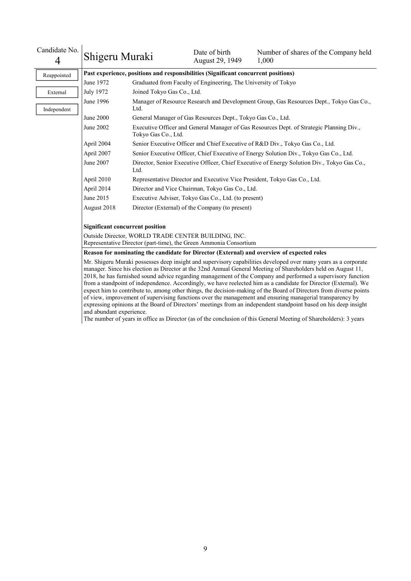| Candidate No.<br>4 | Shigeru Muraki                                                                                                                                                                                                                                                                                                                                                                                                                                                                                                                                                                                                                                                                                                                                                                                                                                                                                                                                   |                                                                                                     | Date of birth<br>August 29, 1949                                                   | Number of shares of the Company held<br>1,000                                              |  |  |  |
|--------------------|--------------------------------------------------------------------------------------------------------------------------------------------------------------------------------------------------------------------------------------------------------------------------------------------------------------------------------------------------------------------------------------------------------------------------------------------------------------------------------------------------------------------------------------------------------------------------------------------------------------------------------------------------------------------------------------------------------------------------------------------------------------------------------------------------------------------------------------------------------------------------------------------------------------------------------------------------|-----------------------------------------------------------------------------------------------------|------------------------------------------------------------------------------------|--------------------------------------------------------------------------------------------|--|--|--|
| Reappointed        |                                                                                                                                                                                                                                                                                                                                                                                                                                                                                                                                                                                                                                                                                                                                                                                                                                                                                                                                                  |                                                                                                     | Past experience, positions and responsibilities (Significant concurrent positions) |                                                                                            |  |  |  |
|                    | June 1972                                                                                                                                                                                                                                                                                                                                                                                                                                                                                                                                                                                                                                                                                                                                                                                                                                                                                                                                        |                                                                                                     | Graduated from Faculty of Engineering, The University of Tokyo                     |                                                                                            |  |  |  |
| External           | <b>July 1972</b>                                                                                                                                                                                                                                                                                                                                                                                                                                                                                                                                                                                                                                                                                                                                                                                                                                                                                                                                 | Joined Tokyo Gas Co., Ltd.                                                                          |                                                                                    |                                                                                            |  |  |  |
| Independent        | June 1996                                                                                                                                                                                                                                                                                                                                                                                                                                                                                                                                                                                                                                                                                                                                                                                                                                                                                                                                        | Ltd.                                                                                                |                                                                                    | Manager of Resource Research and Development Group, Gas Resources Dept., Tokyo Gas Co.,    |  |  |  |
|                    | June 2000                                                                                                                                                                                                                                                                                                                                                                                                                                                                                                                                                                                                                                                                                                                                                                                                                                                                                                                                        |                                                                                                     | General Manager of Gas Resources Dept., Tokyo Gas Co., Ltd.                        |                                                                                            |  |  |  |
|                    | June 2002                                                                                                                                                                                                                                                                                                                                                                                                                                                                                                                                                                                                                                                                                                                                                                                                                                                                                                                                        | Tokyo Gas Co., Ltd.                                                                                 |                                                                                    | Executive Officer and General Manager of Gas Resources Dept. of Strategic Planning Div.,   |  |  |  |
|                    | April 2004                                                                                                                                                                                                                                                                                                                                                                                                                                                                                                                                                                                                                                                                                                                                                                                                                                                                                                                                       |                                                                                                     |                                                                                    | Senior Executive Officer and Chief Executive of R&D Div., Tokyo Gas Co., Ltd.              |  |  |  |
|                    | April 2007                                                                                                                                                                                                                                                                                                                                                                                                                                                                                                                                                                                                                                                                                                                                                                                                                                                                                                                                       |                                                                                                     |                                                                                    | Senior Executive Officer, Chief Executive of Energy Solution Div., Tokyo Gas Co., Ltd.     |  |  |  |
|                    | June 2007                                                                                                                                                                                                                                                                                                                                                                                                                                                                                                                                                                                                                                                                                                                                                                                                                                                                                                                                        | Director, Senior Executive Officer, Chief Executive of Energy Solution Div., Tokyo Gas Co.,<br>Ltd. |                                                                                    |                                                                                            |  |  |  |
|                    | April 2010<br>Representative Director and Executive Vice President, Tokyo Gas Co., Ltd.                                                                                                                                                                                                                                                                                                                                                                                                                                                                                                                                                                                                                                                                                                                                                                                                                                                          |                                                                                                     |                                                                                    |                                                                                            |  |  |  |
|                    | April 2014                                                                                                                                                                                                                                                                                                                                                                                                                                                                                                                                                                                                                                                                                                                                                                                                                                                                                                                                       |                                                                                                     | Director and Vice Chairman, Tokyo Gas Co., Ltd.                                    |                                                                                            |  |  |  |
|                    | June 2015                                                                                                                                                                                                                                                                                                                                                                                                                                                                                                                                                                                                                                                                                                                                                                                                                                                                                                                                        |                                                                                                     | Executive Adviser, Tokyo Gas Co., Ltd. (to present)                                |                                                                                            |  |  |  |
|                    | August 2018                                                                                                                                                                                                                                                                                                                                                                                                                                                                                                                                                                                                                                                                                                                                                                                                                                                                                                                                      |                                                                                                     | Director (External) of the Company (to present)                                    |                                                                                            |  |  |  |
|                    | <b>Significant concurrent position</b>                                                                                                                                                                                                                                                                                                                                                                                                                                                                                                                                                                                                                                                                                                                                                                                                                                                                                                           |                                                                                                     |                                                                                    |                                                                                            |  |  |  |
|                    |                                                                                                                                                                                                                                                                                                                                                                                                                                                                                                                                                                                                                                                                                                                                                                                                                                                                                                                                                  | Outside Director, WORLD TRADE CENTER BUILDING, INC.                                                 | Representative Director (part-time), the Green Ammonia Consortium                  |                                                                                            |  |  |  |
|                    |                                                                                                                                                                                                                                                                                                                                                                                                                                                                                                                                                                                                                                                                                                                                                                                                                                                                                                                                                  |                                                                                                     |                                                                                    | Reason for nominating the candidate for Director (External) and overview of expected roles |  |  |  |
|                    | Mr. Shigeru Muraki possesses deep insight and supervisory capabilities developed over many years as a corporate<br>manager. Since his election as Director at the 32nd Annual General Meeting of Shareholders held on August 11,<br>2018, he has furnished sound advice regarding management of the Company and performed a supervisory function<br>from a standpoint of independence. Accordingly, we have reelected him as a candidate for Director (External). We<br>expect him to contribute to, among other things, the decision-making of the Board of Directors from diverse points<br>of view, improvement of supervising functions over the management and ensuring managerial transparency by<br>expressing opinions at the Board of Directors' meetings from an independent standpoint based on his deep insight<br>The number of years in office as Director (as of the conclusion of this General Meeting of Shareholders): 3 years |                                                                                                     |                                                                                    |                                                                                            |  |  |  |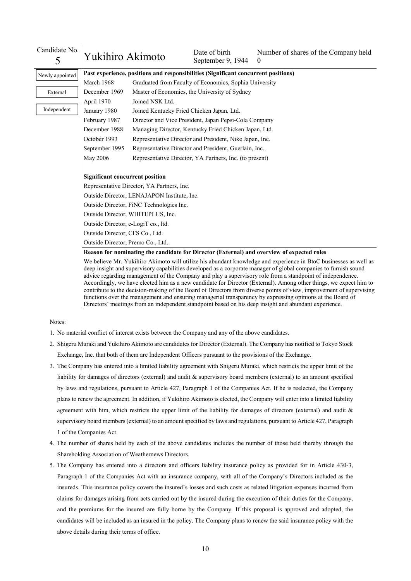| Candidate No.<br>5                                                                                                                                                                                                                                                                                                                                                                                                                                                                                                                                                                           | Yukihiro Akimoto                                                                           |                                             | Date of birth<br>September 9, 1944                                                 | Number of shares of the Company held<br>$\theta$ |  |  |  |
|----------------------------------------------------------------------------------------------------------------------------------------------------------------------------------------------------------------------------------------------------------------------------------------------------------------------------------------------------------------------------------------------------------------------------------------------------------------------------------------------------------------------------------------------------------------------------------------------|--------------------------------------------------------------------------------------------|---------------------------------------------|------------------------------------------------------------------------------------|--------------------------------------------------|--|--|--|
| Newly appointed                                                                                                                                                                                                                                                                                                                                                                                                                                                                                                                                                                              |                                                                                            |                                             | Past experience, positions and responsibilities (Significant concurrent positions) |                                                  |  |  |  |
|                                                                                                                                                                                                                                                                                                                                                                                                                                                                                                                                                                                              | March 1968                                                                                 |                                             | Graduated from Faculty of Economics, Sophia University                             |                                                  |  |  |  |
| External                                                                                                                                                                                                                                                                                                                                                                                                                                                                                                                                                                                     | December 1969                                                                              |                                             | Master of Economics, the University of Sydney                                      |                                                  |  |  |  |
| April 1970<br>Joined NSK Ltd.                                                                                                                                                                                                                                                                                                                                                                                                                                                                                                                                                                |                                                                                            |                                             |                                                                                    |                                                  |  |  |  |
| Independent                                                                                                                                                                                                                                                                                                                                                                                                                                                                                                                                                                                  | January 1980                                                                               | Joined Kentucky Fried Chicken Japan, Ltd.   |                                                                                    |                                                  |  |  |  |
|                                                                                                                                                                                                                                                                                                                                                                                                                                                                                                                                                                                              | Director and Vice President, Japan Pepsi-Cola Company<br>February 1987                     |                                             |                                                                                    |                                                  |  |  |  |
|                                                                                                                                                                                                                                                                                                                                                                                                                                                                                                                                                                                              | December 1988                                                                              |                                             | Managing Director, Kentucky Fried Chicken Japan, Ltd.                              |                                                  |  |  |  |
|                                                                                                                                                                                                                                                                                                                                                                                                                                                                                                                                                                                              | October 1993                                                                               |                                             | Representative Director and President, Nike Japan, Inc.                            |                                                  |  |  |  |
|                                                                                                                                                                                                                                                                                                                                                                                                                                                                                                                                                                                              | September 1995                                                                             |                                             | Representative Director and President, Guerlain, Inc.                              |                                                  |  |  |  |
| Representative Director, YA Partners, Inc. (to present)<br>May 2006                                                                                                                                                                                                                                                                                                                                                                                                                                                                                                                          |                                                                                            |                                             |                                                                                    |                                                  |  |  |  |
|                                                                                                                                                                                                                                                                                                                                                                                                                                                                                                                                                                                              |                                                                                            |                                             |                                                                                    |                                                  |  |  |  |
|                                                                                                                                                                                                                                                                                                                                                                                                                                                                                                                                                                                              | <b>Significant concurrent position</b>                                                     |                                             |                                                                                    |                                                  |  |  |  |
|                                                                                                                                                                                                                                                                                                                                                                                                                                                                                                                                                                                              |                                                                                            | Representative Director, YA Partners, Inc.  |                                                                                    |                                                  |  |  |  |
|                                                                                                                                                                                                                                                                                                                                                                                                                                                                                                                                                                                              |                                                                                            | Outside Director, LENAJAPON Institute, Inc. |                                                                                    |                                                  |  |  |  |
|                                                                                                                                                                                                                                                                                                                                                                                                                                                                                                                                                                                              |                                                                                            | Outside Director, FiNC Technologies Inc.    |                                                                                    |                                                  |  |  |  |
|                                                                                                                                                                                                                                                                                                                                                                                                                                                                                                                                                                                              |                                                                                            | Outside Director, WHITEPLUS, Inc.           |                                                                                    |                                                  |  |  |  |
|                                                                                                                                                                                                                                                                                                                                                                                                                                                                                                                                                                                              |                                                                                            | Outside Director, e-LogiT co., ltd.         |                                                                                    |                                                  |  |  |  |
|                                                                                                                                                                                                                                                                                                                                                                                                                                                                                                                                                                                              | Outside Director, CFS Co., Ltd.                                                            |                                             |                                                                                    |                                                  |  |  |  |
|                                                                                                                                                                                                                                                                                                                                                                                                                                                                                                                                                                                              | Outside Director, Premo Co., Ltd.                                                          |                                             |                                                                                    |                                                  |  |  |  |
|                                                                                                                                                                                                                                                                                                                                                                                                                                                                                                                                                                                              | Reason for nominating the candidate for Director (External) and overview of expected roles |                                             |                                                                                    |                                                  |  |  |  |
| We believe Mr. Yukihiro Akimoto will utilize his abundant knowledge and experience in BtoC businesses as well as<br>deep insight and supervisory capabilities developed as a corporate manager of global companies to furnish sound<br>advice regarding management of the Company and play a supervisory role from a standpoint of independence.<br>Accordingly, we have elected him as a new candidate for Director (External). Among other things, we expect him to<br>contribute to the decision-making of the Board of Directors from diverse points of view, improvement of supervising |                                                                                            |                                             |                                                                                    |                                                  |  |  |  |

Notes:

- 1. No material conflict of interest exists between the Company and any of the above candidates.
- 2. Shigeru Muraki and Yukihiro Akimoto are candidates for Director (External). The Company has notified to Tokyo Stock Exchange, Inc. that both of them are Independent Officers pursuant to the provisions of the Exchange.

functions over the management and ensuring managerial transparency by expressing opinions at the Board of Directors' meetings from an independent standpoint based on his deep insight and abundant experience.

- 3. The Company has entered into a limited liability agreement with Shigeru Muraki, which restricts the upper limit of the liability for damages of directors (external) and audit & supervisory board members (external) to an amount specified by laws and regulations, pursuant to Article 427, Paragraph 1 of the Companies Act. If he is reelected, the Company plans to renew the agreement. In addition, if Yukihiro Akimoto is elected, the Company will enter into a limited liability agreement with him, which restricts the upper limit of the liability for damages of directors (external) and audit  $\&$ supervisory board members (external) to an amount specified by laws and regulations, pursuant to Article 427, Paragraph 1 of the Companies Act.
- 4. The number of shares held by each of the above candidates includes the number of those held thereby through the Shareholding Association of Weathernews Directors.
- 5. The Company has entered into a directors and officers liability insurance policy as provided for in Article 430-3, Paragraph 1 of the Companies Act with an insurance company, with all of the Company's Directors included as the insureds. This insurance policy covers the insured's losses and such costs as related litigation expenses incurred from claims for damages arising from acts carried out by the insured during the execution of their duties for the Company, and the premiums for the insured are fully borne by the Company. If this proposal is approved and adopted, the candidates will be included as an insured in the policy. The Company plans to renew the said insurance policy with the above details during their terms of office.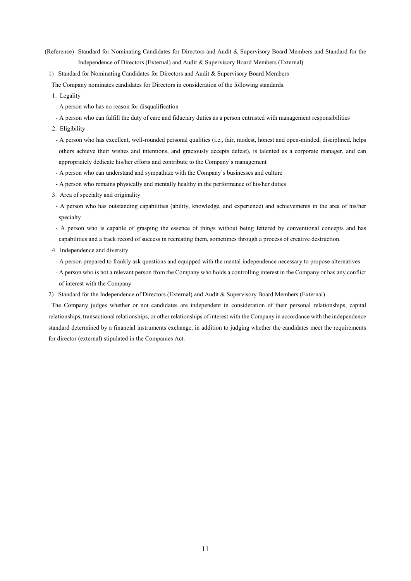- (Reference) Standard for Nominating Candidates for Directors and Audit & Supervisory Board Members and Standard for the Independence of Directors (External) and Audit & Supervisory Board Members (External)
- 1) Standard for Nominating Candidates for Directors and Audit & Supervisory Board Members

The Company nominates candidates for Directors in consideration of the following standards.

- 1. Legality
- A person who has no reason for disqualification
- A person who can fulfill the duty of care and fiduciary duties as a person entrusted with management responsibilities
- 2. Eligibility
- A person who has excellent, well-rounded personal qualities (i.e., fair, modest, honest and open-minded, disciplined, helps others achieve their wishes and intentions, and graciously accepts defeat), is talented as a corporate manager, and can appropriately dedicate his/her efforts and contribute to the Company's management
- A person who can understand and sympathize with the Company's businesses and culture
- A person who remains physically and mentally healthy in the performance of his/her duties
- 3. Area of specialty and originality
- A person who has outstanding capabilities (ability, knowledge, and experience) and achievements in the area of his/her specialty
- A person who is capable of grasping the essence of things without being fettered by conventional concepts and has capabilities and a track record of success in recreating them, sometimes through a process of creative destruction.
- 4. Independence and diversity
- A person prepared to frankly ask questions and equipped with the mental independence necessary to propose alternatives
- A person who is not a relevant person from the Company who holds a controlling interest in the Company or has any conflict of interest with the Company
- 2) Standard for the Independence of Directors (External) and Audit & Supervisory Board Members (External)

The Company judges whether or not candidates are independent in consideration of their personal relationships, capital relationships, transactional relationships, or other relationships of interest with the Company in accordance with the independence standard determined by a financial instruments exchange, in addition to judging whether the candidates meet the requirements for director (external) stipulated in the Companies Act.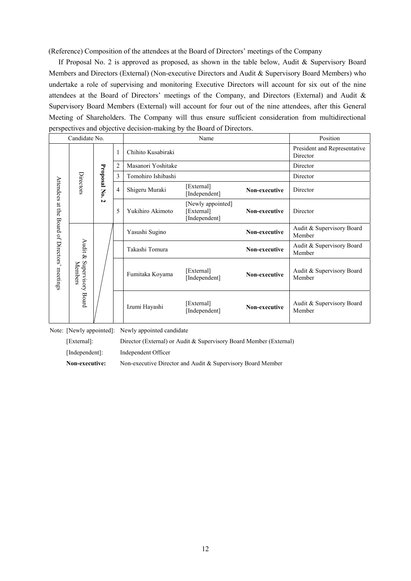(Reference) Composition of the attendees at the Board of Directors' meetings of the Company

If Proposal No. 2 is approved as proposed, as shown in the table below, Audit & Supervisory Board Members and Directors (External) (Non-executive Directors and Audit & Supervisory Board Members) who undertake a role of supervising and monitoring Executive Directors will account for six out of the nine attendees at the Board of Directors' meetings of the Company, and Directors (External) and Audit & Supervisory Board Members (External) will account for four out of the nine attendees, after this General Meeting of Shareholders. The Company will thus ensure sufficient consideration from multidirectional perspectives and objective decision-making by the Board of Directors.

|                              | Candidate No.                           |                |                | Name               |                                                  |               |                                          |                 |                             |               |
|------------------------------|-----------------------------------------|----------------|----------------|--------------------|--------------------------------------------------|---------------|------------------------------------------|-----------------|-----------------------------|---------------|
| Attendees                    |                                         |                | 1              | Chihito Kusabiraki |                                                  |               | President and Representative<br>Director |                 |                             |               |
|                              |                                         |                | 2              | Masanori Yoshitake |                                                  |               | Director                                 |                 |                             |               |
|                              |                                         |                | 3              | Tomohiro Ishibashi |                                                  |               | Director                                 |                 |                             |               |
|                              | Directors                               | Proposal No. 2 | $\overline{4}$ | Shigeru Muraki     | [External]<br>[Independent]                      | Non-executive | Director                                 |                 |                             |               |
| at the                       |                                         |                | 5              | Yukihiro Akimoto   | [Newly appointed]<br>[External]<br>[Independent] | Non-executive | Director                                 |                 |                             |               |
|                              | Audit &<br>Supervisory Board<br>Members |                |                | Yasushi Sugino     |                                                  | Non-executive | Audit & Supervisory Board<br>Member      |                 |                             |               |
|                              |                                         |                |                | Takashi Tomura     |                                                  | Non-executive | Audit & Supervisory Board<br>Member      |                 |                             |               |
| Board of Directors' meetings |                                         |                |                |                    |                                                  |               |                                          | Fumitaka Koyama | [External]<br>[Independent] | Non-executive |
|                              |                                         |                |                | Izumi Hayashi      | [External]<br>[Independent]                      | Non-executive | Audit & Supervisory Board<br>Member      |                 |                             |               |

Note: [Newly appointed]: Newly appointed candidate

[External]: Director (External) or Audit & Supervisory Board Member (External)

[Independent]: Independent Officer

**Non-executive:** Non-executive Director and Audit & Supervisory Board Member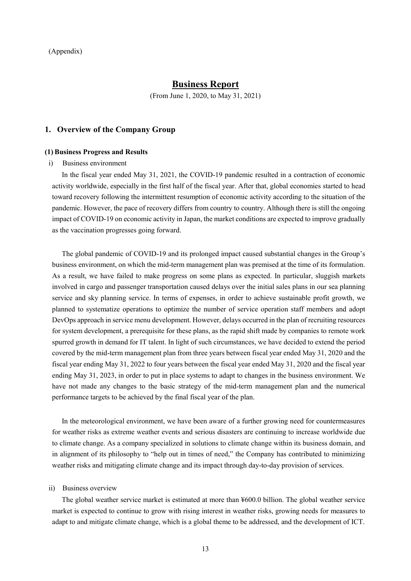# **Business Report**

(From June 1, 2020, to May 31, 2021)

### **1. Overview of the Company Group**

### **(1) Business Progress and Results**

## i) Business environment

In the fiscal year ended May 31, 2021, the COVID-19 pandemic resulted in a contraction of economic activity worldwide, especially in the first half of the fiscal year. After that, global economies started to head toward recovery following the intermittent resumption of economic activity according to the situation of the pandemic. However, the pace of recovery differs from country to country. Although there is still the ongoing impact of COVID-19 on economic activity in Japan, the market conditions are expected to improve gradually as the vaccination progresses going forward.

The global pandemic of COVID-19 and its prolonged impact caused substantial changes in the Group's business environment, on which the mid-term management plan was premised at the time of its formulation. As a result, we have failed to make progress on some plans as expected. In particular, sluggish markets involved in cargo and passenger transportation caused delays over the initial sales plans in our sea planning service and sky planning service. In terms of expenses, in order to achieve sustainable profit growth, we planned to systematize operations to optimize the number of service operation staff members and adopt DevOps approach in service menu development. However, delays occurred in the plan of recruiting resources for system development, a prerequisite for these plans, as the rapid shift made by companies to remote work spurred growth in demand for IT talent. In light of such circumstances, we have decided to extend the period covered by the mid-term management plan from three years between fiscal year ended May 31, 2020 and the fiscal year ending May 31, 2022 to four years between the fiscal year ended May 31, 2020 and the fiscal year ending May 31, 2023, in order to put in place systems to adapt to changes in the business environment. We have not made any changes to the basic strategy of the mid-term management plan and the numerical performance targets to be achieved by the final fiscal year of the plan.

In the meteorological environment, we have been aware of a further growing need for countermeasures for weather risks as extreme weather events and serious disasters are continuing to increase worldwide due to climate change. As a company specialized in solutions to climate change within its business domain, and in alignment of its philosophy to "help out in times of need," the Company has contributed to minimizing weather risks and mitigating climate change and its impact through day-to-day provision of services.

#### ii) Business overview

The global weather service market is estimated at more than ¥600.0 billion. The global weather service market is expected to continue to grow with rising interest in weather risks, growing needs for measures to adapt to and mitigate climate change, which is a global theme to be addressed, and the development of ICT.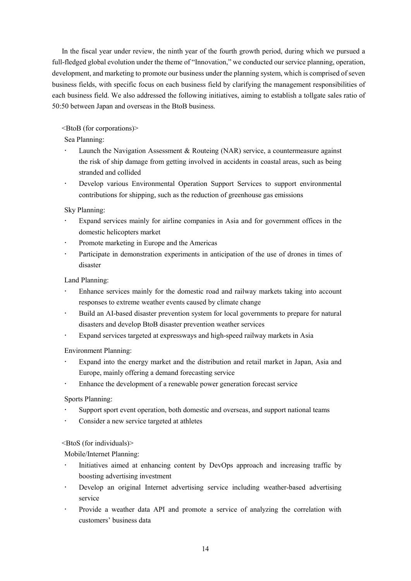In the fiscal year under review, the ninth year of the fourth growth period, during which we pursued a full-fledged global evolution under the theme of "Innovation," we conducted our service planning, operation, development, and marketing to promote our business under the planning system, which is comprised of seven business fields, with specific focus on each business field by clarifying the management responsibilities of each business field. We also addressed the following initiatives, aiming to establish a tollgate sales ratio of 50:50 between Japan and overseas in the BtoB business.

<BtoB (for corporations)>

Sea Planning:

- Launch the Navigation Assessment & Routeing (NAR) service, a countermeasure against the risk of ship damage from getting involved in accidents in coastal areas, such as being stranded and collided
- Develop various Environmental Operation Support Services to support environmental contributions for shipping, such as the reduction of greenhouse gas emissions

Sky Planning:

- Expand services mainly for airline companies in Asia and for government offices in the domestic helicopters market
- Promote marketing in Europe and the Americas
- Participate in demonstration experiments in anticipation of the use of drones in times of disaster

Land Planning:

- Enhance services mainly for the domestic road and railway markets taking into account responses to extreme weather events caused by climate change
- Build an AI-based disaster prevention system for local governments to prepare for natural disasters and develop BtoB disaster prevention weather services
- Expand services targeted at expressways and high-speed railway markets in Asia

Environment Planning:

- Expand into the energy market and the distribution and retail market in Japan, Asia and Europe, mainly offering a demand forecasting service
- Enhance the development of a renewable power generation forecast service

Sports Planning:

- Support sport event operation, both domestic and overseas, and support national teams
- Consider a new service targeted at athletes

<BtoS (for individuals)>

Mobile/Internet Planning:

- Initiatives aimed at enhancing content by DevOps approach and increasing traffic by boosting advertising investment
- Develop an original Internet advertising service including weather-based advertising service
- Provide a weather data API and promote a service of analyzing the correlation with customers' business data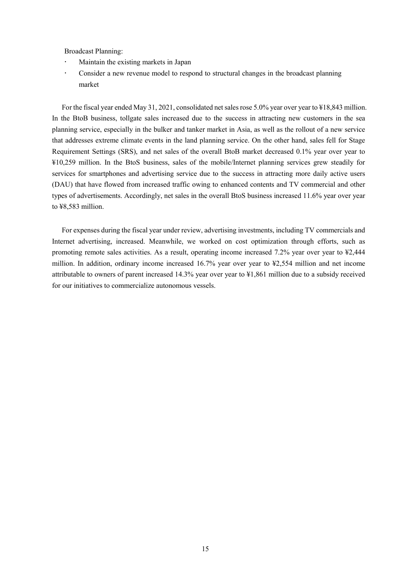Broadcast Planning:

- Maintain the existing markets in Japan
- Consider a new revenue model to respond to structural changes in the broadcast planning market

For the fiscal year ended May 31, 2021, consolidated net sales rose 5.0% year over year to ¥18,843 million. In the BtoB business, tollgate sales increased due to the success in attracting new customers in the sea planning service, especially in the bulker and tanker market in Asia, as well as the rollout of a new service that addresses extreme climate events in the land planning service. On the other hand, sales fell for Stage Requirement Settings (SRS), and net sales of the overall BtoB market decreased 0.1% year over year to ¥10,259 million. In the BtoS business, sales of the mobile/Internet planning services grew steadily for services for smartphones and advertising service due to the success in attracting more daily active users (DAU) that have flowed from increased traffic owing to enhanced contents and TV commercial and other types of advertisements. Accordingly, net sales in the overall BtoS business increased 11.6% year over year to ¥8,583 million.

For expenses during the fiscal year under review, advertising investments, including TV commercials and Internet advertising, increased. Meanwhile, we worked on cost optimization through efforts, such as promoting remote sales activities. As a result, operating income increased 7.2% year over year to ¥2,444 million. In addition, ordinary income increased 16.7% year over year to ¥2,554 million and net income attributable to owners of parent increased 14.3% year over year to ¥1,861 million due to a subsidy received for our initiatives to commercialize autonomous vessels.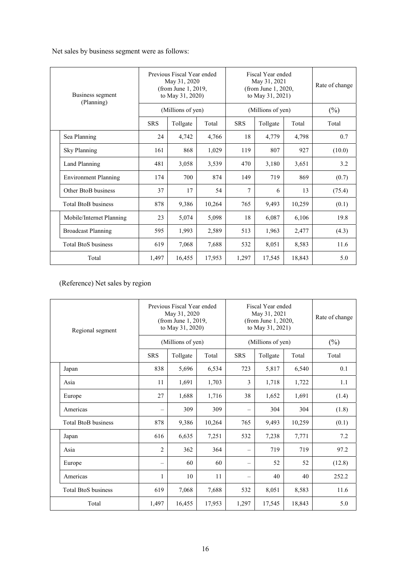Net sales by business segment were as follows:

| Business segment<br>(Planning) |                             | Previous Fiscal Year ended<br>May 31, 2020<br>(from June 1, 2019,<br>to May 31, 2020) |          |        | Fiscal Year ended<br>May 31, 2021<br>(from June 1, 2020,<br>to May 31, 2021) |          |        | Rate of change |
|--------------------------------|-----------------------------|---------------------------------------------------------------------------------------|----------|--------|------------------------------------------------------------------------------|----------|--------|----------------|
|                                |                             | (Millions of yen)                                                                     |          |        | (Millions of yen)                                                            |          |        | $(\%)$         |
|                                |                             | <b>SRS</b>                                                                            | Tollgate | Total  | <b>SRS</b>                                                                   | Tollgate | Total  | Total          |
|                                | Sea Planning                | 24                                                                                    | 4,742    | 4,766  | 18                                                                           | 4,779    | 4,798  | 0.7            |
|                                | <b>Sky Planning</b>         | 161                                                                                   | 868      | 1,029  | 119                                                                          | 807      | 927    | (10.0)         |
|                                | Land Planning               | 481                                                                                   | 3,058    | 3,539  | 470                                                                          | 3,180    | 3,651  | 3.2            |
|                                | <b>Environment Planning</b> | 174                                                                                   | 700      | 874    | 149                                                                          | 719      | 869    | (0.7)          |
|                                | Other BtoB business         | 37                                                                                    | 17       | 54     | 7                                                                            | 6        | 13     | (75.4)         |
|                                | <b>Total BtoB business</b>  | 878                                                                                   | 9,386    | 10,264 | 765                                                                          | 9,493    | 10,259 | (0.1)          |
|                                | Mobile/Internet Planning    | 23                                                                                    | 5,074    | 5,098  | 18                                                                           | 6,087    | 6,106  | 19.8           |
|                                | <b>Broadcast Planning</b>   | 595                                                                                   | 1,993    | 2,589  | 513                                                                          | 1,963    | 2,477  | (4.3)          |
|                                | <b>Total BtoS business</b>  | 619                                                                                   | 7,068    | 7,688  | 532                                                                          | 8,051    | 8,583  | 11.6           |
|                                | Total                       | 1,497                                                                                 | 16,455   | 17,953 | 1,297                                                                        | 17,545   | 18,843 | 5.0            |

(Reference) Net sales by region

| Regional segment |                            | Previous Fiscal Year ended<br>May 31, 2020<br>(from June 1, 2019,<br>to May 31, 2020) |          |        | Fiscal Year ended<br>May 31, 2021<br>(from June 1, 2020,<br>to May 31, 2021) |          |        | Rate of change |
|------------------|----------------------------|---------------------------------------------------------------------------------------|----------|--------|------------------------------------------------------------------------------|----------|--------|----------------|
|                  |                            | (Millions of yen)                                                                     |          |        | (Millions of yen)                                                            |          |        | $(\%)$         |
|                  |                            | <b>SRS</b>                                                                            | Tollgate | Total  | <b>SRS</b>                                                                   | Tollgate | Total  | Total          |
|                  | Japan                      | 838                                                                                   | 5,696    | 6,534  | 723                                                                          | 5,817    | 6,540  | 0.1            |
|                  | Asia                       | 11                                                                                    | 1,691    | 1,703  | 3                                                                            | 1,718    | 1,722  | 1.1            |
|                  | Europe                     | 27                                                                                    | 1,688    | 1,716  | 38                                                                           | 1,652    | 1,691  | (1.4)          |
|                  | Americas                   | $\overline{\phantom{0}}$                                                              | 309      | 309    | $\overline{\phantom{0}}$                                                     | 304      | 304    | (1.8)          |
|                  | <b>Total BtoB business</b> | 878                                                                                   | 9,386    | 10,264 | 765                                                                          | 9,493    | 10,259 | (0.1)          |
|                  | Japan                      | 616                                                                                   | 6,635    | 7,251  | 532                                                                          | 7,238    | 7,771  | 7.2            |
|                  | Asia                       | $\overline{2}$                                                                        | 362      | 364    | $\equiv$                                                                     | 719      | 719    | 97.2           |
|                  | Europe                     | $\overline{\phantom{0}}$                                                              | 60       | 60     | $\overline{\phantom{m}}$                                                     | 52       | 52     | (12.8)         |
|                  | Americas                   | 1                                                                                     | 10       | 11     | $\frac{1}{2}$                                                                | 40       | 40     | 252.2          |
|                  | <b>Total BtoS business</b> | 619                                                                                   | 7,068    | 7,688  | 532                                                                          | 8,051    | 8,583  | 11.6           |
|                  | Total                      | 1,497                                                                                 | 16,455   | 17,953 | 1,297                                                                        | 17,545   | 18,843 | 5.0            |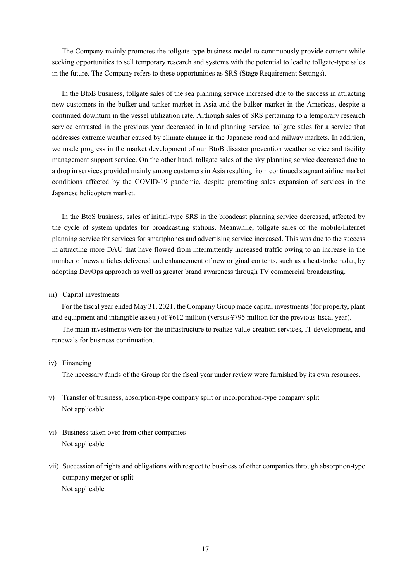The Company mainly promotes the tollgate-type business model to continuously provide content while seeking opportunities to sell temporary research and systems with the potential to lead to tollgate-type sales in the future. The Company refers to these opportunities as SRS (Stage Requirement Settings).

In the BtoB business, tollgate sales of the sea planning service increased due to the success in attracting new customers in the bulker and tanker market in Asia and the bulker market in the Americas, despite a continued downturn in the vessel utilization rate. Although sales of SRS pertaining to a temporary research service entrusted in the previous year decreased in land planning service, tollgate sales for a service that addresses extreme weather caused by climate change in the Japanese road and railway markets. In addition, we made progress in the market development of our BtoB disaster prevention weather service and facility management support service. On the other hand, tollgate sales of the sky planning service decreased due to a drop in services provided mainly among customers in Asia resulting from continued stagnant airline market conditions affected by the COVID-19 pandemic, despite promoting sales expansion of services in the Japanese helicopters market.

In the BtoS business, sales of initial-type SRS in the broadcast planning service decreased, affected by the cycle of system updates for broadcasting stations. Meanwhile, tollgate sales of the mobile/Internet planning service for services for smartphones and advertising service increased. This was due to the success in attracting more DAU that have flowed from intermittently increased traffic owing to an increase in the number of news articles delivered and enhancement of new original contents, such as a heatstroke radar, by adopting DevOps approach as well as greater brand awareness through TV commercial broadcasting.

## iii) Capital investments

For the fiscal year ended May 31, 2021, the Company Group made capital investments (for property, plant and equipment and intangible assets) of ¥612 million (versus ¥795 million for the previous fiscal year).

The main investments were for the infrastructure to realize value-creation services, IT development, and renewals for business continuation.

### iv) Financing

The necessary funds of the Group for the fiscal year under review were furnished by its own resources.

- v) Transfer of business, absorption-type company split or incorporation-type company split Not applicable
- vi) Business taken over from other companies Not applicable
- vii) Succession of rights and obligations with respect to business of other companies through absorption-type company merger or split Not applicable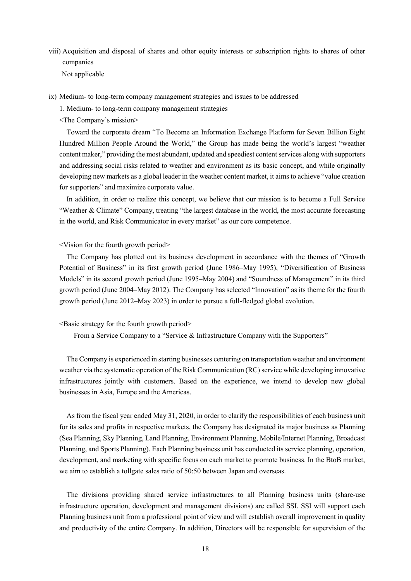viii) Acquisition and disposal of shares and other equity interests or subscription rights to shares of other companies

Not applicable

- ix) Medium- to long-term company management strategies and issues to be addressed
	- 1. Medium- to long-term company management strategies
	- <The Company's mission>

Toward the corporate dream "To Become an Information Exchange Platform for Seven Billion Eight Hundred Million People Around the World," the Group has made being the world's largest "weather content maker," providing the most abundant, updated and speediest content services along with supporters and addressing social risks related to weather and environment as its basic concept, and while originally developing new markets as a global leader in the weather content market, it aims to achieve "value creation for supporters" and maximize corporate value.

In addition, in order to realize this concept, we believe that our mission is to become a Full Service "Weather & Climate" Company, treating "the largest database in the world, the most accurate forecasting in the world, and Risk Communicator in every market" as our core competence.

## <Vision for the fourth growth period>

The Company has plotted out its business development in accordance with the themes of "Growth Potential of Business" in its first growth period (June 1986–May 1995), "Diversification of Business Models" in its second growth period (June 1995–May 2004) and "Soundness of Management" in its third growth period (June 2004–May 2012). The Company has selected "Innovation" as its theme for the fourth growth period (June 2012–May 2023) in order to pursue a full-fledged global evolution.

<Basic strategy for the fourth growth period>

—From a Service Company to a "Service & Infrastructure Company with the Supporters" —

The Company is experienced in starting businesses centering on transportation weather and environment weather via the systematic operation of the Risk Communication (RC) service while developing innovative infrastructures jointly with customers. Based on the experience, we intend to develop new global businesses in Asia, Europe and the Americas.

As from the fiscal year ended May 31, 2020, in order to clarify the responsibilities of each business unit for its sales and profits in respective markets, the Company has designated its major business as Planning (Sea Planning, Sky Planning, Land Planning, Environment Planning, Mobile/Internet Planning, Broadcast Planning, and Sports Planning). Each Planning business unit has conducted its service planning, operation, development, and marketing with specific focus on each market to promote business. In the BtoB market, we aim to establish a tollgate sales ratio of 50:50 between Japan and overseas.

The divisions providing shared service infrastructures to all Planning business units (share-use infrastructure operation, development and management divisions) are called SSI. SSI will support each Planning business unit from a professional point of view and will establish overall improvement in quality and productivity of the entire Company. In addition, Directors will be responsible for supervision of the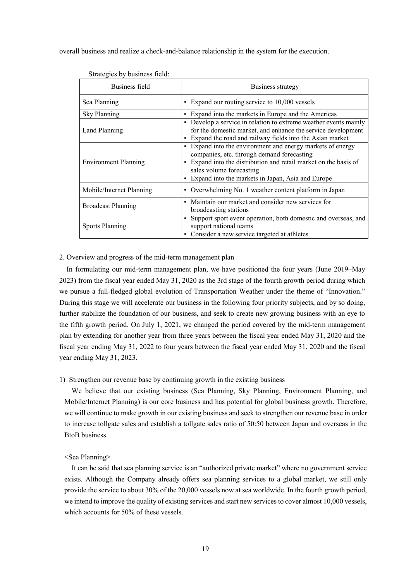overall business and realize a check-and-balance relationship in the system for the execution.

| Business field              | Business strategy                                                                                                                                                                                                                                             |
|-----------------------------|---------------------------------------------------------------------------------------------------------------------------------------------------------------------------------------------------------------------------------------------------------------|
| Sea Planning                | • Expand our routing service to 10,000 vessels                                                                                                                                                                                                                |
| Sky Planning                | • Expand into the markets in Europe and the Americas                                                                                                                                                                                                          |
| Land Planning               | • Develop a service in relation to extreme weather events mainly<br>for the domestic market, and enhance the service development<br>• Expand the road and railway fields into the Asian market                                                                |
| <b>Environment Planning</b> | • Expand into the environment and energy markets of energy<br>companies, etc. through demand forecasting<br>• Expand into the distribution and retail market on the basis of<br>sales volume forecasting<br>Expand into the markets in Japan, Asia and Europe |
| Mobile/Internet Planning    | • Overwhelming No. 1 weather content platform in Japan                                                                                                                                                                                                        |
| <b>Broadcast Planning</b>   | Maintain our market and consider new services for<br>broadcasting stations                                                                                                                                                                                    |
| Sports Planning             | Support sport event operation, both domestic and overseas, and<br>support national teams<br>Consider a new service targeted at athletes                                                                                                                       |

Strategies by business field:

2. Overview and progress of the mid-term management plan

In formulating our mid-term management plan, we have positioned the four years (June 2019–May 2023) from the fiscal year ended May 31, 2020 as the 3rd stage of the fourth growth period during which we pursue a full-fledged global evolution of Transportation Weather under the theme of "Innovation." During this stage we will accelerate our business in the following four priority subjects, and by so doing, further stabilize the foundation of our business, and seek to create new growing business with an eye to the fifth growth period. On July 1, 2021, we changed the period covered by the mid-term management plan by extending for another year from three years between the fiscal year ended May 31, 2020 and the fiscal year ending May 31, 2022 to four years between the fiscal year ended May 31, 2020 and the fiscal year ending May 31, 2023.

## 1) Strengthen our revenue base by continuing growth in the existing business

We believe that our existing business (Sea Planning, Sky Planning, Environment Planning, and Mobile/Internet Planning) is our core business and has potential for global business growth. Therefore, we will continue to make growth in our existing business and seek to strengthen our revenue base in order to increase tollgate sales and establish a tollgate sales ratio of 50:50 between Japan and overseas in the BtoB business.

#### <Sea Planning>

It can be said that sea planning service is an "authorized private market" where no government service exists. Although the Company already offers sea planning services to a global market, we still only provide the service to about 30% of the 20,000 vessels now at sea worldwide. In the fourth growth period, we intend to improve the quality of existing services and start new services to cover almost 10,000 vessels, which accounts for 50% of these vessels.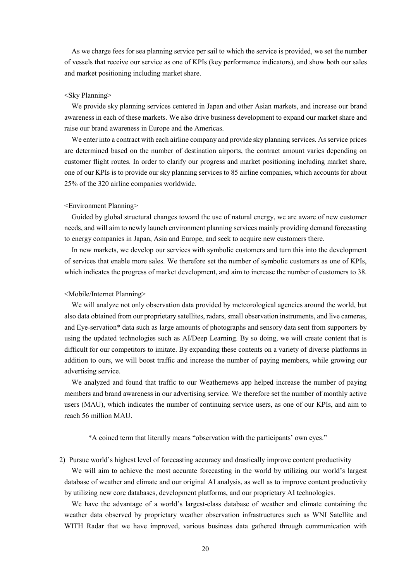As we charge fees for sea planning service per sail to which the service is provided, we set the number of vessels that receive our service as one of KPIs (key performance indicators), and show both our sales and market positioning including market share.

### <Sky Planning>

We provide sky planning services centered in Japan and other Asian markets, and increase our brand awareness in each of these markets. We also drive business development to expand our market share and raise our brand awareness in Europe and the Americas.

We enter into a contract with each airline company and provide sky planning services. As service prices are determined based on the number of destination airports, the contract amount varies depending on customer flight routes. In order to clarify our progress and market positioning including market share, one of our KPIs is to provide our sky planning services to 85 airline companies, which accounts for about 25% of the 320 airline companies worldwide.

#### <Environment Planning>

Guided by global structural changes toward the use of natural energy, we are aware of new customer needs, and will aim to newly launch environment planning services mainly providing demand forecasting to energy companies in Japan, Asia and Europe, and seek to acquire new customers there.

In new markets, we develop our services with symbolic customers and turn this into the development of services that enable more sales. We therefore set the number of symbolic customers as one of KPIs, which indicates the progress of market development, and aim to increase the number of customers to 38.

#### <Mobile/Internet Planning>

We will analyze not only observation data provided by meteorological agencies around the world, but also data obtained from our proprietary satellites, radars, small observation instruments, and live cameras, and Eye-servation\* data such as large amounts of photographs and sensory data sent from supporters by using the updated technologies such as AI/Deep Learning. By so doing, we will create content that is difficult for our competitors to imitate. By expanding these contents on a variety of diverse platforms in addition to ours, we will boost traffic and increase the number of paying members, while growing our advertising service.

We analyzed and found that traffic to our Weathernews app helped increase the number of paying members and brand awareness in our advertising service. We therefore set the number of monthly active users (MAU), which indicates the number of continuing service users, as one of our KPIs, and aim to reach 56 million MAU.

\*A coined term that literally means "observation with the participants' own eyes."

2) Pursue world's highest level of forecasting accuracy and drastically improve content productivity

We will aim to achieve the most accurate forecasting in the world by utilizing our world's largest database of weather and climate and our original AI analysis, as well as to improve content productivity by utilizing new core databases, development platforms, and our proprietary AI technologies.

We have the advantage of a world's largest-class database of weather and climate containing the weather data observed by proprietary weather observation infrastructures such as WNI Satellite and WITH Radar that we have improved, various business data gathered through communication with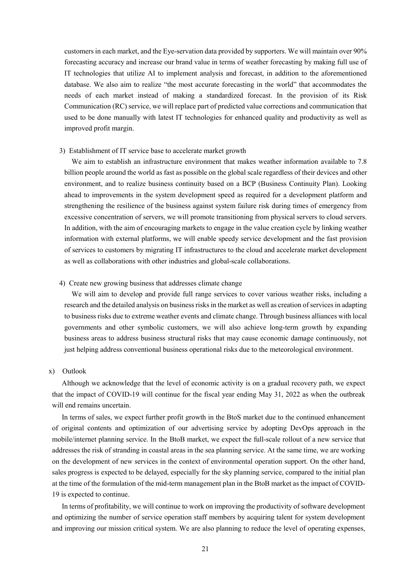customers in each market, and the Eye-servation data provided by supporters. We will maintain over 90% forecasting accuracy and increase our brand value in terms of weather forecasting by making full use of IT technologies that utilize AI to implement analysis and forecast, in addition to the aforementioned database. We also aim to realize "the most accurate forecasting in the world" that accommodates the needs of each market instead of making a standardized forecast. In the provision of its Risk Communication (RC) service, we will replace part of predicted value corrections and communication that used to be done manually with latest IT technologies for enhanced quality and productivity as well as improved profit margin.

#### 3) Establishment of IT service base to accelerate market growth

We aim to establish an infrastructure environment that makes weather information available to 7.8 billion people around the world as fast as possible on the global scale regardless of their devices and other environment, and to realize business continuity based on a BCP (Business Continuity Plan). Looking ahead to improvements in the system development speed as required for a development platform and strengthening the resilience of the business against system failure risk during times of emergency from excessive concentration of servers, we will promote transitioning from physical servers to cloud servers. In addition, with the aim of encouraging markets to engage in the value creation cycle by linking weather information with external platforms, we will enable speedy service development and the fast provision of services to customers by migrating IT infrastructures to the cloud and accelerate market development as well as collaborations with other industries and global-scale collaborations.

#### 4) Create new growing business that addresses climate change

We will aim to develop and provide full range services to cover various weather risks, including a research and the detailed analysis on business risks in the market as well as creation of services in adapting to business risks due to extreme weather events and climate change. Through business alliances with local governments and other symbolic customers, we will also achieve long-term growth by expanding business areas to address business structural risks that may cause economic damage continuously, not just helping address conventional business operational risks due to the meteorological environment.

#### x) Outlook

Although we acknowledge that the level of economic activity is on a gradual recovery path, we expect that the impact of COVID-19 will continue for the fiscal year ending May 31, 2022 as when the outbreak will end remains uncertain.

In terms of sales, we expect further profit growth in the BtoS market due to the continued enhancement of original contents and optimization of our advertising service by adopting DevOps approach in the mobile/internet planning service. In the BtoB market, we expect the full-scale rollout of a new service that addresses the risk of stranding in coastal areas in the sea planning service. At the same time, we are working on the development of new services in the context of environmental operation support. On the other hand, sales progress is expected to be delayed, especially for the sky planning service, compared to the initial plan at the time of the formulation of the mid-term management plan in the BtoB market as the impact of COVID-19 is expected to continue.

In terms of profitability, we will continue to work on improving the productivity of software development and optimizing the number of service operation staff members by acquiring talent for system development and improving our mission critical system. We are also planning to reduce the level of operating expenses,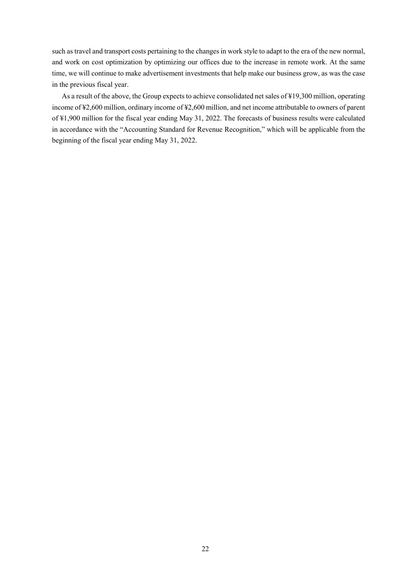such as travel and transport costs pertaining to the changes in work style to adapt to the era of the new normal, and work on cost optimization by optimizing our offices due to the increase in remote work. At the same time, we will continue to make advertisement investments that help make our business grow, as was the case in the previous fiscal year.

As a result of the above, the Group expects to achieve consolidated net sales of ¥19,300 million, operating income of ¥2,600 million, ordinary income of ¥2,600 million, and net income attributable to owners of parent of ¥1,900 million for the fiscal year ending May 31, 2022. The forecasts of business results were calculated in accordance with the "Accounting Standard for Revenue Recognition," which will be applicable from the beginning of the fiscal year ending May 31, 2022.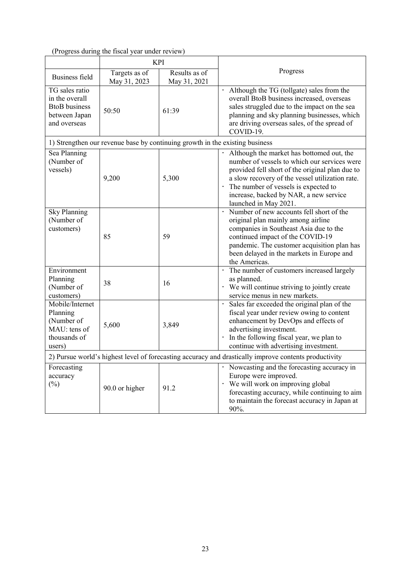# (Progress during the fiscal year under review)

|                                                                                                       | <b>KPI</b>                                                                   |                               |                                                                                                                                                                                                                                                                                                              |  |
|-------------------------------------------------------------------------------------------------------|------------------------------------------------------------------------------|-------------------------------|--------------------------------------------------------------------------------------------------------------------------------------------------------------------------------------------------------------------------------------------------------------------------------------------------------------|--|
| <b>Business field</b>                                                                                 | Targets as of<br>May 31, 2023                                                | Results as of<br>May 31, 2021 | Progress                                                                                                                                                                                                                                                                                                     |  |
| TG sales ratio<br>in the overall<br><b>BtoB</b> business<br>between Japan<br>and overseas             | 50:50                                                                        | 61:39                         | Although the TG (tollgate) sales from the<br>$\bullet$<br>overall BtoB business increased, overseas<br>sales struggled due to the impact on the sea<br>planning and sky planning businesses, which<br>are driving overseas sales, of the spread of<br>COVID-19.                                              |  |
|                                                                                                       | 1) Strengthen our revenue base by continuing growth in the existing business |                               |                                                                                                                                                                                                                                                                                                              |  |
| Sea Planning<br>(Number of<br>vessels)                                                                | 9,200                                                                        | 5,300                         | Although the market has bottomed out, the<br>number of vessels to which our services were<br>provided fell short of the original plan due to<br>a slow recovery of the vessel utilization rate.<br>• The number of vessels is expected to<br>increase, backed by NAR, a new service<br>launched in May 2021. |  |
| <b>Sky Planning</b><br>(Number of<br>customers)                                                       | 85                                                                           | 59                            | · Number of new accounts fell short of the<br>original plan mainly among airline<br>companies in Southeast Asia due to the<br>continued impact of the COVID-19<br>pandemic. The customer acquisition plan has<br>been delayed in the markets in Europe and<br>the Americas.                                  |  |
| Environment<br>Planning<br>(Number of<br>customers)                                                   | 38                                                                           | 16                            | The number of customers increased largely<br>as planned.<br>• We will continue striving to jointly create<br>service menus in new markets.                                                                                                                                                                   |  |
| Mobile/Internet<br>Planning<br>(Number of<br>MAU: tens of<br>thousands of<br>users)                   | 5,600                                                                        | 3,849                         | Sales far exceeded the original plan of the<br>fiscal year under review owing to content<br>enhancement by DevOps and effects of<br>advertising investment.<br>In the following fiscal year, we plan to<br>continue with advertising investment.                                                             |  |
| 2) Pursue world's highest level of forecasting accuracy and drastically improve contents productivity |                                                                              |                               |                                                                                                                                                                                                                                                                                                              |  |
| Forecasting<br>accuracy<br>$(\%)$                                                                     | 90.0 or higher                                                               | 91.2                          | Nowcasting and the forecasting accuracy in<br>Europe were improved.<br>· We will work on improving global<br>forecasting accuracy, while continuing to aim<br>to maintain the forecast accuracy in Japan at<br>90%.                                                                                          |  |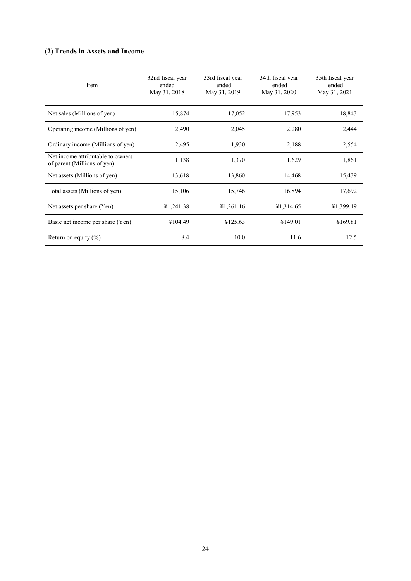# **(2) Trends in Assets and Income**

| Item                                                             | 32nd fiscal year<br>ended<br>May 31, 2018 | 33rd fiscal year<br>ended<br>May 31, 2019 | 34th fiscal year<br>ended<br>May 31, 2020 | 35th fiscal year<br>ended<br>May 31, 2021 |
|------------------------------------------------------------------|-------------------------------------------|-------------------------------------------|-------------------------------------------|-------------------------------------------|
| Net sales (Millions of yen)                                      | 15,874                                    | 17,052                                    | 17,953                                    | 18,843                                    |
| Operating income (Millions of yen)                               | 2,490                                     | 2,045                                     | 2,280                                     | 2,444                                     |
| Ordinary income (Millions of yen)                                | 2,495                                     | 1,930                                     | 2,188                                     | 2,554                                     |
| Net income attributable to owners<br>of parent (Millions of yen) | 1,138                                     | 1,370                                     | 1,629                                     | 1,861                                     |
| Net assets (Millions of yen)                                     | 13,618                                    | 13,860                                    | 14,468                                    | 15,439                                    |
| Total assets (Millions of yen)                                   | 15,106                                    | 15,746                                    | 16,894                                    | 17,692                                    |
| Net assets per share (Yen)                                       | ¥1,241.38                                 | ¥1,261.16                                 | ¥1,314.65                                 | ¥1,399.19                                 |
| Basic net income per share (Yen)                                 | ¥104.49                                   | ¥125.63                                   | ¥149.01                                   | ¥169.81                                   |
| Return on equity $(\%)$                                          | 8.4                                       | 10.0                                      | 11.6                                      | 12.5                                      |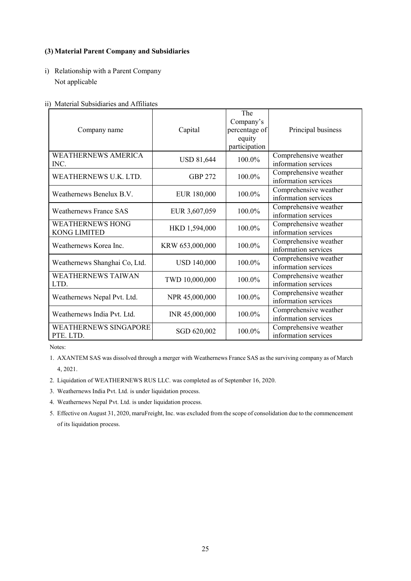# **(3) Material Parent Company and Subsidiaries**

i) Relationship with a Parent Company Not applicable

## ii) Material Subsidiaries and Affiliates

| Company name                                   | Capital            | The<br>Company's<br>percentage of<br>equity<br>participation | Principal business                            |
|------------------------------------------------|--------------------|--------------------------------------------------------------|-----------------------------------------------|
| <b>WEATHERNEWS AMERICA</b><br>INC.             | <b>USD 81,644</b>  | 100.0%                                                       | Comprehensive weather<br>information services |
| WEATHERNEWS U.K. LTD.                          | <b>GBP 272</b>     | 100.0%                                                       | Comprehensive weather<br>information services |
| Weathernews Benelux B.V.                       | EUR 180,000        | 100.0%                                                       | Comprehensive weather<br>information services |
| <b>Weathernews France SAS</b>                  | EUR 3,607,059      | 100.0%                                                       | Comprehensive weather<br>information services |
| <b>WEATHERNEWS HONG</b><br><b>KONG LIMITED</b> | HKD 1,594,000      | 100.0%                                                       | Comprehensive weather<br>information services |
| Weathernews Korea Inc.                         | KRW 653,000,000    | 100.0%                                                       | Comprehensive weather<br>information services |
| Weathernews Shanghai Co, Ltd.                  | <b>USD 140,000</b> | $100.0\%$                                                    | Comprehensive weather<br>information services |
| <b>WEATHERNEWS TAIWAN</b><br>LTD.              | TWD 10,000,000     | 100.0%                                                       | Comprehensive weather<br>information services |
| Weathernews Nepal Pvt. Ltd.                    | NPR 45,000,000     | 100.0%                                                       | Comprehensive weather<br>information services |
| Weathernews India Pvt. Ltd.                    | INR 45,000,000     | 100.0%                                                       | Comprehensive weather<br>information services |
| <b>WEATHERNEWS SINGAPORE</b><br>PTE. LTD.      | SGD 620,002        | 100.0%                                                       | Comprehensive weather<br>information services |

Notes:

1. AXANTEM SAS was dissolved through a merger with Weathernews France SAS as the surviving company as of March 4, 2021.

- 2. Liquidation of WEATHERNEWS RUS LLC. was completed as of September 16, 2020.
- 3. Weathernews India Pvt. Ltd. is under liquidation process.
- 4. Weathernews Nepal Pvt. Ltd. is under liquidation process.
- 5. Effective on August 31, 2020, maruFreight, Inc. was excluded from the scope of consolidation due to the commencement of its liquidation process.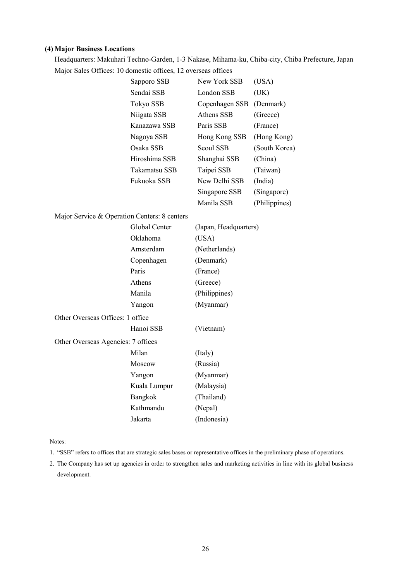# **(4) Major Business Locations**

Headquarters: Makuhari Techno-Garden, 1-3 Nakase, Mihama-ku, Chiba-city, Chiba Prefecture, Japan Major Sales Offices: 10 domestic offices, 12 overseas offices

|                                              | Sapporo SSB   | New York SSB          | (USA)         |
|----------------------------------------------|---------------|-----------------------|---------------|
|                                              | Sendai SSB    | London SSB            | (UK)          |
|                                              | Tokyo SSB     | Copenhagen SSB        | (Denmark)     |
|                                              | Niigata SSB   | Athens SSB            | (Greece)      |
|                                              | Kanazawa SSB  | Paris SSB             | (France)      |
|                                              | Nagoya SSB    | Hong Kong SSB         | (Hong Kong)   |
|                                              | Osaka SSB     | Seoul SSB             | (South Korea) |
|                                              | Hiroshima SSB | Shanghai SSB          | (China)       |
|                                              | Takamatsu SSB | Taipei SSB            | (Taiwan)      |
|                                              | Fukuoka SSB   | New Delhi SSB         | (India)       |
|                                              |               | Singapore SSB         | (Singapore)   |
|                                              |               | Manila SSB            | (Philippines) |
| Major Service & Operation Centers: 8 centers |               |                       |               |
|                                              | Global Center | (Japan, Headquarters) |               |
|                                              | Oklahoma      | (USA)                 |               |
|                                              | Amsterdam     | (Netherlands)         |               |
|                                              | Copenhagen    | (Denmark)             |               |
|                                              | Paris         | (France)              |               |
|                                              | Athens        | (Greece)              |               |
|                                              | Manila        | (Philippines)         |               |
|                                              | Yangon        | (Myanmar)             |               |
| Other Overseas Offices: 1 office             |               |                       |               |
|                                              | Hanoi SSB     | (Vietnam)             |               |
| Other Overseas Agencies: 7 offices           |               |                       |               |
|                                              | Milan         | (Italy)               |               |
|                                              | Moscow        | (Russia)              |               |
|                                              | Yangon        | (Myanmar)             |               |
|                                              | Kuala Lumpur  | (Malaysia)            |               |
|                                              | Bangkok       | (Thailand)            |               |
|                                              | Kathmandu     | (Nepal)               |               |
|                                              | Jakarta       | (Indonesia)           |               |

Notes:

- 1. "SSB" refers to offices that are strategic sales bases or representative offices in the preliminary phase of operations.
- 2. The Company has set up agencies in order to strengthen sales and marketing activities in line with its global business development.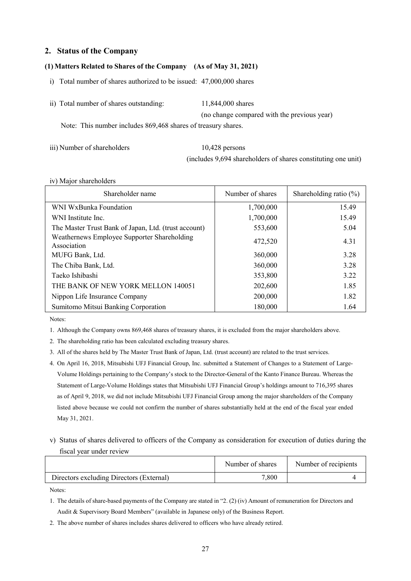# **2. Status of the Company**

## **(1) Matters Related to Shares of the Company (As of May 31, 2021)**

i) Total number of shares authorized to be issued: 47,000,000 shares

| ii) Total number of shares outstanding: | 11,844,000 shares                           |
|-----------------------------------------|---------------------------------------------|
|                                         | (no change compared with the previous year) |

Note: This number includes 869,468 shares of treasury shares.

iii) Number of shareholders 10.428 persons

(includes 9,694 shareholders of shares constituting one unit)

### iv) Major shareholders

| Shareholder name                                           | Number of shares | Shareholding ratio $(\%)$ |
|------------------------------------------------------------|------------------|---------------------------|
| WNI WxBunka Foundation                                     | 1,700,000        | 15.49                     |
| WNI Institute Inc.                                         | 1,700,000        | 15.49                     |
| The Master Trust Bank of Japan, Ltd. (trust account)       | 553,600          | 5.04                      |
| Weathernews Employee Supporter Shareholding<br>Association | 472,520          | 4.31                      |
| MUFG Bank, Ltd.                                            | 360,000          | 3.28                      |
| The Chiba Bank, Ltd.                                       | 360,000          | 3.28                      |
| Taeko Ishibashi                                            | 353,800          | 3.22                      |
| THE BANK OF NEW YORK MELLON 140051                         | 202,600          | 1.85                      |
| Nippon Life Insurance Company                              | 200,000          | 1.82                      |
| Sumitomo Mitsui Banking Corporation                        | 180,000          | 1.64                      |

Notes:

1. Although the Company owns 869,468 shares of treasury shares, it is excluded from the major shareholders above.

2. The shareholding ratio has been calculated excluding treasury shares.

3. All of the shares held by The Master Trust Bank of Japan, Ltd. (trust account) are related to the trust services.

- 4. On April 16, 2018, Mitsubishi UFJ Financial Group, Inc. submitted a Statement of Changes to a Statement of Large-Volume Holdings pertaining to the Company's stock to the Director-General of the Kanto Finance Bureau. Whereas the Statement of Large-Volume Holdings states that Mitsubishi UFJ Financial Group's holdings amount to 716,395 shares as of April 9, 2018, we did not include Mitsubishi UFJ Financial Group among the major shareholders of the Company listed above because we could not confirm the number of shares substantially held at the end of the fiscal year ended May 31, 2021.
- v) Status of shares delivered to officers of the Company as consideration for execution of duties during the fiscal year under review

|                                          | Number of shares | Number of recipients |
|------------------------------------------|------------------|----------------------|
| Directors excluding Directors (External) | 7.800            |                      |

Notes:

1. The details of share-based payments of the Company are stated in "2. (2) (iv) Amount of remuneration for Directors and Audit & Supervisory Board Members" (available in Japanese only) of the Business Report.

2. The above number of shares includes shares delivered to officers who have already retired.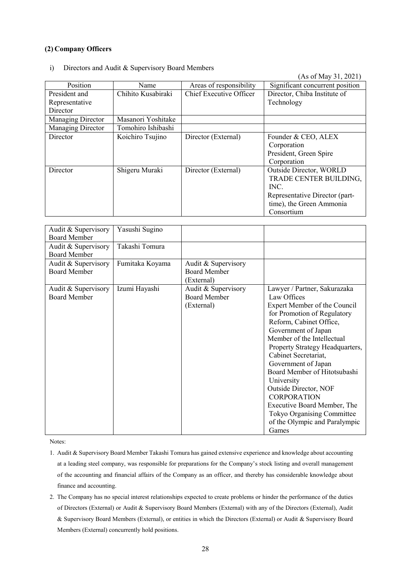# **(2) Company Officers**

i) Directors and Audit & Supervisory Board Members

(As of May 31, 2021)

|                   |                    |                         | $(110 \text{ VI} \cdot 1)$      |
|-------------------|--------------------|-------------------------|---------------------------------|
| Position          | Name               | Areas of responsibility | Significant concurrent position |
| President and     | Chihito Kusabiraki | Chief Executive Officer | Director, Chiba Institute of    |
| Representative    |                    |                         | Technology                      |
| Director          |                    |                         |                                 |
| Managing Director | Masanori Yoshitake |                         |                                 |
| Managing Director | Tomohiro Ishibashi |                         |                                 |
| Director          | Koichiro Tsujino   | Director (External)     | Founder & CEO, ALEX             |
|                   |                    |                         | Corporation                     |
|                   |                    |                         | President, Green Spire          |
|                   |                    |                         | Corporation                     |
| Director          | Shigeru Muraki     | Director (External)     | Outside Director, WORLD         |
|                   |                    |                         | TRADE CENTER BUILDING,          |
|                   |                    |                         | INC.                            |
|                   |                    |                         | Representative Director (part-  |
|                   |                    |                         | time), the Green Ammonia        |
|                   |                    |                         | Consortium                      |
|                   |                    |                         |                                 |

| Audit & Supervisory<br><b>Board Member</b> | Yasushi Sugino  |                                                          |                                                                                                                                                                                                                                                                                                                                                                                                                                                                                  |
|--------------------------------------------|-----------------|----------------------------------------------------------|----------------------------------------------------------------------------------------------------------------------------------------------------------------------------------------------------------------------------------------------------------------------------------------------------------------------------------------------------------------------------------------------------------------------------------------------------------------------------------|
| Audit & Supervisory<br><b>Board Member</b> | Takashi Tomura  |                                                          |                                                                                                                                                                                                                                                                                                                                                                                                                                                                                  |
| Audit & Supervisory<br><b>Board Member</b> | Fumitaka Koyama | Audit & Supervisory<br><b>Board Member</b><br>(External) |                                                                                                                                                                                                                                                                                                                                                                                                                                                                                  |
| Audit & Supervisory<br><b>Board Member</b> | Izumi Hayashi   | Audit & Supervisory<br><b>Board Member</b><br>(External) | Lawyer / Partner, Sakurazaka<br>Law Offices<br>Expert Member of the Council<br>for Promotion of Regulatory<br>Reform, Cabinet Office,<br>Government of Japan<br>Member of the Intellectual<br>Property Strategy Headquarters,<br>Cabinet Secretariat,<br>Government of Japan<br>Board Member of Hitotsubashi<br>University<br>Outside Director, NOF<br><b>CORPORATION</b><br>Executive Board Member, The<br>Tokyo Organising Committee<br>of the Olympic and Paralympic<br>Games |

Notes:

- 1. Audit & Supervisory Board Member Takashi Tomura has gained extensive experience and knowledge about accounting at a leading steel company, was responsible for preparations for the Company's stock listing and overall management of the accounting and financial affairs of the Company as an officer, and thereby has considerable knowledge about finance and accounting.
- 2. The Company has no special interest relationships expected to create problems or hinder the performance of the duties of Directors (External) or Audit & Supervisory Board Members (External) with any of the Directors (External), Audit & Supervisory Board Members (External), or entities in which the Directors (External) or Audit & Supervisory Board Members (External) concurrently hold positions.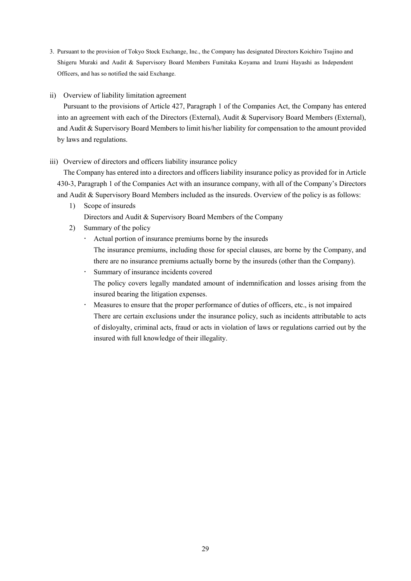- 3. Pursuant to the provision of Tokyo Stock Exchange, Inc., the Company has designated Directors Koichiro Tsujino and Shigeru Muraki and Audit & Supervisory Board Members Fumitaka Koyama and Izumi Hayashi as Independent Officers, and has so notified the said Exchange.
- ii) Overview of liability limitation agreement

Pursuant to the provisions of Article 427, Paragraph 1 of the Companies Act, the Company has entered into an agreement with each of the Directors (External), Audit & Supervisory Board Members (External), and Audit & Supervisory Board Members to limit his/her liability for compensation to the amount provided by laws and regulations.

## iii) Overview of directors and officers liability insurance policy

The Company has entered into a directors and officers liability insurance policy as provided for in Article 430-3, Paragraph 1 of the Companies Act with an insurance company, with all of the Company's Directors and Audit & Supervisory Board Members included as the insureds. Overview of the policy is as follows:

1) Scope of insureds

Directors and Audit & Supervisory Board Members of the Company

- 2) Summary of the policy
	- Actual portion of insurance premiums borne by the insureds

The insurance premiums, including those for special clauses, are borne by the Company, and there are no insurance premiums actually borne by the insureds (other than the Company).

Summary of insurance incidents covered

The policy covers legally mandated amount of indemnification and losses arising from the insured bearing the litigation expenses.

 Measures to ensure that the proper performance of duties of officers, etc., is not impaired There are certain exclusions under the insurance policy, such as incidents attributable to acts of disloyalty, criminal acts, fraud or acts in violation of laws or regulations carried out by the insured with full knowledge of their illegality.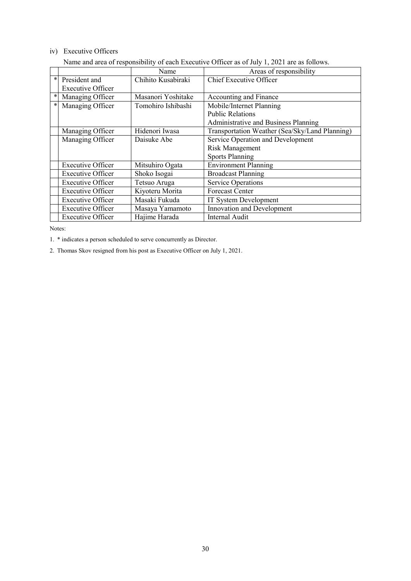# iv) Executive Officers

|        |                          | Name               | Areas of responsibility                        |
|--------|--------------------------|--------------------|------------------------------------------------|
| $\ast$ | President and            | Chihito Kusabiraki | Chief Executive Officer                        |
|        | <b>Executive Officer</b> |                    |                                                |
| *      | Managing Officer         | Masanori Yoshitake | Accounting and Finance                         |
| *      | Managing Officer         | Tomohiro Ishibashi | Mobile/Internet Planning                       |
|        |                          |                    | <b>Public Relations</b>                        |
|        |                          |                    | Administrative and Business Planning           |
|        | Managing Officer         | Hidenori Iwasa     | Transportation Weather (Sea/Sky/Land Planning) |
|        | Managing Officer         | Daisuke Abe        | Service Operation and Development              |
|        |                          |                    | <b>Risk Management</b>                         |
|        |                          |                    | <b>Sports Planning</b>                         |
|        | <b>Executive Officer</b> | Mitsuhiro Ogata    | <b>Environment Planning</b>                    |
|        | <b>Executive Officer</b> | Shoko Isogai       | <b>Broadcast Planning</b>                      |
|        | <b>Executive Officer</b> | Tetsuo Aruga       | <b>Service Operations</b>                      |
|        | <b>Executive Officer</b> | Kiyoteru Morita    | <b>Forecast Center</b>                         |
|        | <b>Executive Officer</b> | Masaki Fukuda      | IT System Development                          |
|        | <b>Executive Officer</b> | Masaya Yamamoto    | Innovation and Development                     |
|        | <b>Executive Officer</b> | Hajime Harada      | <b>Internal Audit</b>                          |

Name and area of responsibility of each Executive Officer as of July 1, 2021 are as follows.

Notes:

1. \* indicates a person scheduled to serve concurrently as Director.

2. Thomas Skov resigned from his post as Executive Officer on July 1, 2021.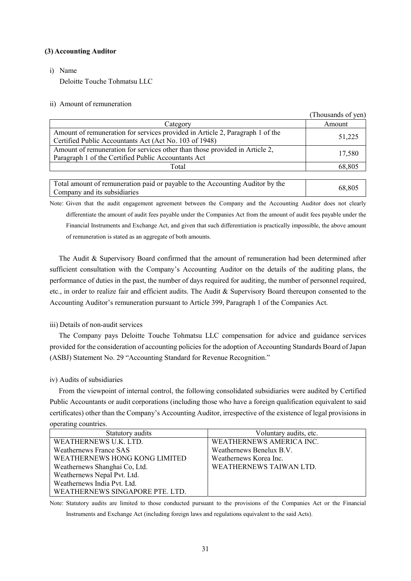### **(3) Accounting Auditor**

i) Name

Deloitte Touche Tohmatsu LLC

### ii) Amount of remuneration

|                                                                               | I nousands of yen) |
|-------------------------------------------------------------------------------|--------------------|
| Category                                                                      | Amount             |
| Amount of remuneration for services provided in Article 2, Paragraph 1 of the | 51,225             |
| Certified Public Accountants Act (Act No. 103 of 1948)                        |                    |
| Amount of remuneration for services other than those provided in Article 2,   | 17,580             |
| Paragraph 1 of the Certified Public Accountants Act                           |                    |
| Total                                                                         | 68,805             |
|                                                                               |                    |
|                                                                               |                    |

 $(T1 \t 1 C)$ 

Total amount of remuneration paid or payable to the Accounting Auditor by the Company and its subsidiaries the Accounting Additional by the 68,805

Note: Given that the audit engagement agreement between the Company and the Accounting Auditor does not clearly differentiate the amount of audit fees payable under the Companies Act from the amount of audit fees payable under the Financial Instruments and Exchange Act, and given that such differentiation is practically impossible, the above amount of remuneration is stated as an aggregate of both amounts.

The Audit & Supervisory Board confirmed that the amount of remuneration had been determined after sufficient consultation with the Company's Accounting Auditor on the details of the auditing plans, the performance of duties in the past, the number of days required for auditing, the number of personnel required, etc., in order to realize fair and efficient audits. The Audit & Supervisory Board thereupon consented to the Accounting Auditor's remuneration pursuant to Article 399, Paragraph 1 of the Companies Act.

## iii) Details of non-audit services

The Company pays Deloitte Touche Tohmatsu LLC compensation for advice and guidance services provided for the consideration of accounting policies for the adoption of Accounting Standards Board of Japan (ASBJ) Statement No. 29 "Accounting Standard for Revenue Recognition."

### iv) Audits of subsidiaries

From the viewpoint of internal control, the following consolidated subsidiaries were audited by Certified Public Accountants or audit corporations (including those who have a foreign qualification equivalent to said certificates) other than the Company's Accounting Auditor, irrespective of the existence of legal provisions in operating countries.

| Statutory audits                | Voluntary audits, etc.   |
|---------------------------------|--------------------------|
| WEATHERNEWS U.K. LTD.           | WEATHERNEWS AMERICA INC. |
| <b>Weathernews France SAS</b>   | Weathernews Benelux B.V. |
| WEATHERNEWS HONG KONG LIMITED   | Weathernews Korea Inc.   |
| Weathernews Shanghai Co, Ltd.   | WEATHERNEWS TAIWAN LTD.  |
| Weathernews Nepal Pvt. Ltd.     |                          |
| Weathernews India Pvt. Ltd.     |                          |
| WEATHERNEWS SINGAPORE PTE. LTD. |                          |

Note: Statutory audits are limited to those conducted pursuant to the provisions of the Companies Act or the Financial Instruments and Exchange Act (including foreign laws and regulations equivalent to the said Acts).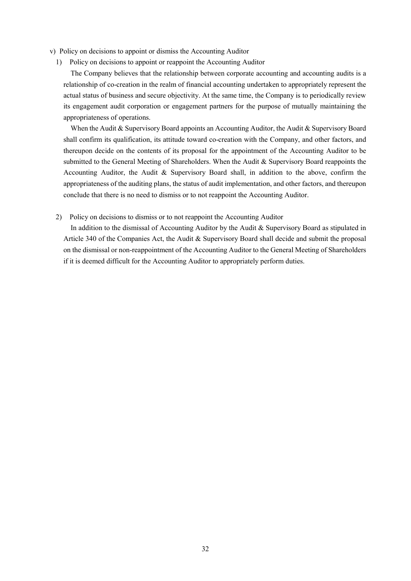v) Policy on decisions to appoint or dismiss the Accounting Auditor

1) Policy on decisions to appoint or reappoint the Accounting Auditor

The Company believes that the relationship between corporate accounting and accounting audits is a relationship of co-creation in the realm of financial accounting undertaken to appropriately represent the actual status of business and secure objectivity. At the same time, the Company is to periodically review its engagement audit corporation or engagement partners for the purpose of mutually maintaining the appropriateness of operations.

When the Audit & Supervisory Board appoints an Accounting Auditor, the Audit & Supervisory Board shall confirm its qualification, its attitude toward co-creation with the Company, and other factors, and thereupon decide on the contents of its proposal for the appointment of the Accounting Auditor to be submitted to the General Meeting of Shareholders. When the Audit & Supervisory Board reappoints the Accounting Auditor, the Audit & Supervisory Board shall, in addition to the above, confirm the appropriateness of the auditing plans, the status of audit implementation, and other factors, and thereupon conclude that there is no need to dismiss or to not reappoint the Accounting Auditor.

2) Policy on decisions to dismiss or to not reappoint the Accounting Auditor

In addition to the dismissal of Accounting Auditor by the Audit & Supervisory Board as stipulated in Article 340 of the Companies Act, the Audit & Supervisory Board shall decide and submit the proposal on the dismissal or non-reappointment of the Accounting Auditor to the General Meeting of Shareholders if it is deemed difficult for the Accounting Auditor to appropriately perform duties.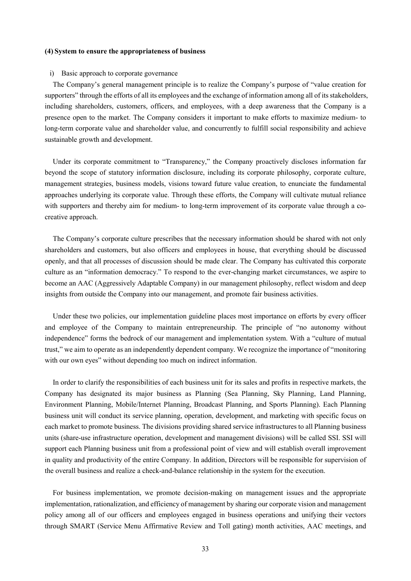#### **(4) System to ensure the appropriateness of business**

#### i) Basic approach to corporate governance

The Company's general management principle is to realize the Company's purpose of "value creation for supporters" through the efforts of all its employees and the exchange of information among all of its stakeholders, including shareholders, customers, officers, and employees, with a deep awareness that the Company is a presence open to the market. The Company considers it important to make efforts to maximize medium- to long-term corporate value and shareholder value, and concurrently to fulfill social responsibility and achieve sustainable growth and development.

Under its corporate commitment to "Transparency," the Company proactively discloses information far beyond the scope of statutory information disclosure, including its corporate philosophy, corporate culture, management strategies, business models, visions toward future value creation, to enunciate the fundamental approaches underlying its corporate value. Through these efforts, the Company will cultivate mutual reliance with supporters and thereby aim for medium- to long-term improvement of its corporate value through a cocreative approach.

The Company's corporate culture prescribes that the necessary information should be shared with not only shareholders and customers, but also officers and employees in house, that everything should be discussed openly, and that all processes of discussion should be made clear. The Company has cultivated this corporate culture as an "information democracy." To respond to the ever-changing market circumstances, we aspire to become an AAC (Aggressively Adaptable Company) in our management philosophy, reflect wisdom and deep insights from outside the Company into our management, and promote fair business activities.

Under these two policies, our implementation guideline places most importance on efforts by every officer and employee of the Company to maintain entrepreneurship. The principle of "no autonomy without independence" forms the bedrock of our management and implementation system. With a "culture of mutual trust," we aim to operate as an independently dependent company. We recognize the importance of "monitoring with our own eyes" without depending too much on indirect information.

In order to clarify the responsibilities of each business unit for its sales and profits in respective markets, the Company has designated its major business as Planning (Sea Planning, Sky Planning, Land Planning, Environment Planning, Mobile/Internet Planning, Broadcast Planning, and Sports Planning). Each Planning business unit will conduct its service planning, operation, development, and marketing with specific focus on each market to promote business. The divisions providing shared service infrastructures to all Planning business units (share-use infrastructure operation, development and management divisions) will be called SSI. SSI will support each Planning business unit from a professional point of view and will establish overall improvement in quality and productivity of the entire Company. In addition, Directors will be responsible for supervision of the overall business and realize a check-and-balance relationship in the system for the execution.

For business implementation, we promote decision-making on management issues and the appropriate implementation, rationalization, and efficiency of management by sharing our corporate vision and management policy among all of our officers and employees engaged in business operations and unifying their vectors through SMART (Service Menu Affirmative Review and Toll gating) month activities, AAC meetings, and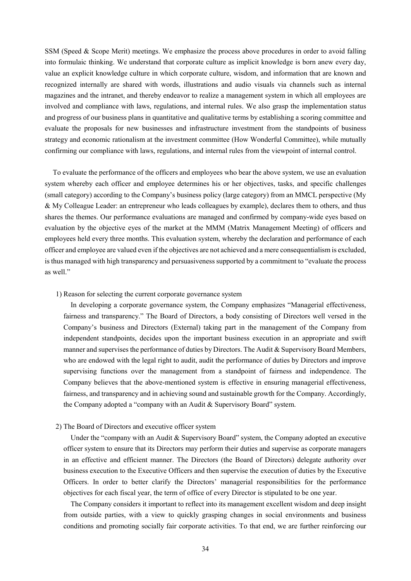SSM (Speed & Scope Merit) meetings. We emphasize the process above procedures in order to avoid falling into formulaic thinking. We understand that corporate culture as implicit knowledge is born anew every day, value an explicit knowledge culture in which corporate culture, wisdom, and information that are known and recognized internally are shared with words, illustrations and audio visuals via channels such as internal magazines and the intranet, and thereby endeavor to realize a management system in which all employees are involved and compliance with laws, regulations, and internal rules. We also grasp the implementation status and progress of our business plans in quantitative and qualitative terms by establishing a scoring committee and evaluate the proposals for new businesses and infrastructure investment from the standpoints of business strategy and economic rationalism at the investment committee (How Wonderful Committee), while mutually confirming our compliance with laws, regulations, and internal rules from the viewpoint of internal control.

To evaluate the performance of the officers and employees who bear the above system, we use an evaluation system whereby each officer and employee determines his or her objectives, tasks, and specific challenges (small category) according to the Company's business policy (large category) from an MMCL perspective (My & My Colleague Leader: an entrepreneur who leads colleagues by example), declares them to others, and thus shares the themes. Our performance evaluations are managed and confirmed by company-wide eyes based on evaluation by the objective eyes of the market at the MMM (Matrix Management Meeting) of officers and employees held every three months. This evaluation system, whereby the declaration and performance of each officer and employee are valued even if the objectives are not achieved and a mere consequentialism is excluded, is thus managed with high transparency and persuasiveness supported by a commitment to "evaluate the process as well."

1) Reason for selecting the current corporate governance system

In developing a corporate governance system, the Company emphasizes "Managerial effectiveness, fairness and transparency." The Board of Directors, a body consisting of Directors well versed in the Company's business and Directors (External) taking part in the management of the Company from independent standpoints, decides upon the important business execution in an appropriate and swift manner and supervises the performance of duties by Directors. The Audit & Supervisory Board Members, who are endowed with the legal right to audit, audit the performance of duties by Directors and improve supervising functions over the management from a standpoint of fairness and independence. The Company believes that the above-mentioned system is effective in ensuring managerial effectiveness, fairness, and transparency and in achieving sound and sustainable growth for the Company. Accordingly, the Company adopted a "company with an Audit & Supervisory Board" system.

## 2) The Board of Directors and executive officer system

Under the "company with an Audit & Supervisory Board" system, the Company adopted an executive officer system to ensure that its Directors may perform their duties and supervise as corporate managers in an effective and efficient manner. The Directors (the Board of Directors) delegate authority over business execution to the Executive Officers and then supervise the execution of duties by the Executive Officers. In order to better clarify the Directors' managerial responsibilities for the performance objectives for each fiscal year, the term of office of every Director is stipulated to be one year.

The Company considers it important to reflect into its management excellent wisdom and deep insight from outside parties, with a view to quickly grasping changes in social environments and business conditions and promoting socially fair corporate activities. To that end, we are further reinforcing our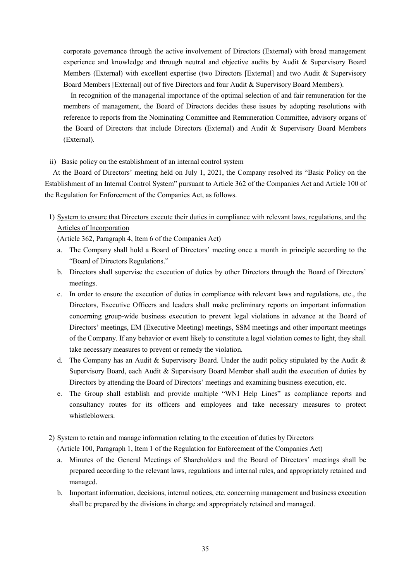corporate governance through the active involvement of Directors (External) with broad management experience and knowledge and through neutral and objective audits by Audit & Supervisory Board Members (External) with excellent expertise (two Directors [External] and two Audit & Supervisory Board Members [External] out of five Directors and four Audit & Supervisory Board Members).

In recognition of the managerial importance of the optimal selection of and fair remuneration for the members of management, the Board of Directors decides these issues by adopting resolutions with reference to reports from the Nominating Committee and Remuneration Committee, advisory organs of the Board of Directors that include Directors (External) and Audit & Supervisory Board Members (External).

## ii) Basic policy on the establishment of an internal control system

At the Board of Directors' meeting held on July 1, 2021, the Company resolved its "Basic Policy on the Establishment of an Internal Control System" pursuant to Article 362 of the Companies Act and Article 100 of the Regulation for Enforcement of the Companies Act, as follows.

1) System to ensure that Directors execute their duties in compliance with relevant laws, regulations, and the Articles of Incorporation

(Article 362, Paragraph 4, Item 6 of the Companies Act)

- a. The Company shall hold a Board of Directors' meeting once a month in principle according to the "Board of Directors Regulations."
- b. Directors shall supervise the execution of duties by other Directors through the Board of Directors' meetings.
- c. In order to ensure the execution of duties in compliance with relevant laws and regulations, etc., the Directors, Executive Officers and leaders shall make preliminary reports on important information concerning group-wide business execution to prevent legal violations in advance at the Board of Directors' meetings, EM (Executive Meeting) meetings, SSM meetings and other important meetings of the Company. If any behavior or event likely to constitute a legal violation comes to light, they shall take necessary measures to prevent or remedy the violation.
- d. The Company has an Audit & Supervisory Board. Under the audit policy stipulated by the Audit & Supervisory Board, each Audit & Supervisory Board Member shall audit the execution of duties by Directors by attending the Board of Directors' meetings and examining business execution, etc.
- e. The Group shall establish and provide multiple "WNI Help Lines" as compliance reports and consultancy routes for its officers and employees and take necessary measures to protect whistleblowers.
- 2) System to retain and manage information relating to the execution of duties by Directors

(Article 100, Paragraph 1, Item 1 of the Regulation for Enforcement of the Companies Act)

- a. Minutes of the General Meetings of Shareholders and the Board of Directors' meetings shall be prepared according to the relevant laws, regulations and internal rules, and appropriately retained and managed.
- b. Important information, decisions, internal notices, etc. concerning management and business execution shall be prepared by the divisions in charge and appropriately retained and managed.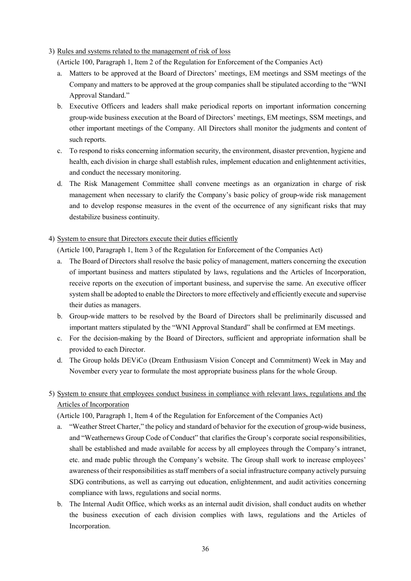# 3) Rules and systems related to the management of risk of loss

(Article 100, Paragraph 1, Item 2 of the Regulation for Enforcement of the Companies Act)

- a. Matters to be approved at the Board of Directors' meetings, EM meetings and SSM meetings of the Company and matters to be approved at the group companies shall be stipulated according to the "WNI Approval Standard."
- b. Executive Officers and leaders shall make periodical reports on important information concerning group-wide business execution at the Board of Directors' meetings, EM meetings, SSM meetings, and other important meetings of the Company. All Directors shall monitor the judgments and content of such reports.
- c. To respond to risks concerning information security, the environment, disaster prevention, hygiene and health, each division in charge shall establish rules, implement education and enlightenment activities, and conduct the necessary monitoring.
- d. The Risk Management Committee shall convene meetings as an organization in charge of risk management when necessary to clarify the Company's basic policy of group-wide risk management and to develop response measures in the event of the occurrence of any significant risks that may destabilize business continuity.

# 4) System to ensure that Directors execute their duties efficiently

(Article 100, Paragraph 1, Item 3 of the Regulation for Enforcement of the Companies Act)

- a. The Board of Directors shall resolve the basic policy of management, matters concerning the execution of important business and matters stipulated by laws, regulations and the Articles of Incorporation, receive reports on the execution of important business, and supervise the same. An executive officer system shall be adopted to enable the Directors to more effectively and efficiently execute and supervise their duties as managers.
- b. Group-wide matters to be resolved by the Board of Directors shall be preliminarily discussed and important matters stipulated by the "WNI Approval Standard" shall be confirmed at EM meetings.
- c. For the decision-making by the Board of Directors, sufficient and appropriate information shall be provided to each Director.
- d. The Group holds DEViCo (Dream Enthusiasm Vision Concept and Commitment) Week in May and November every year to formulate the most appropriate business plans for the whole Group.
- 5) System to ensure that employees conduct business in compliance with relevant laws, regulations and the Articles of Incorporation

(Article 100, Paragraph 1, Item 4 of the Regulation for Enforcement of the Companies Act)

- a. "Weather Street Charter," the policy and standard of behavior for the execution of group-wide business, and "Weathernews Group Code of Conduct" that clarifies the Group's corporate social responsibilities, shall be established and made available for access by all employees through the Company's intranet, etc. and made public through the Company's website. The Group shall work to increase employees' awareness of their responsibilities as staff members of a social infrastructure company actively pursuing SDG contributions, as well as carrying out education, enlightenment, and audit activities concerning compliance with laws, regulations and social norms.
- b. The Internal Audit Office, which works as an internal audit division, shall conduct audits on whether the business execution of each division complies with laws, regulations and the Articles of Incorporation.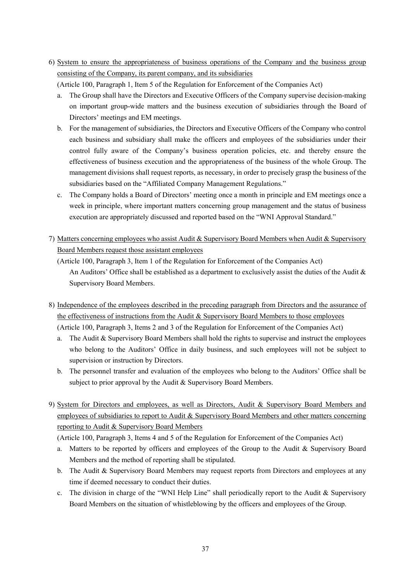6) System to ensure the appropriateness of business operations of the Company and the business group consisting of the Company, its parent company, and its subsidiaries

(Article 100, Paragraph 1, Item 5 of the Regulation for Enforcement of the Companies Act)

- a. The Group shall have the Directors and Executive Officers of the Company supervise decision-making on important group-wide matters and the business execution of subsidiaries through the Board of Directors' meetings and EM meetings.
- b. For the management of subsidiaries, the Directors and Executive Officers of the Company who control each business and subsidiary shall make the officers and employees of the subsidiaries under their control fully aware of the Company's business operation policies, etc. and thereby ensure the effectiveness of business execution and the appropriateness of the business of the whole Group. The management divisions shall request reports, as necessary, in order to precisely grasp the business of the subsidiaries based on the "Affiliated Company Management Regulations."
- c. The Company holds a Board of Directors' meeting once a month in principle and EM meetings once a week in principle, where important matters concerning group management and the status of business execution are appropriately discussed and reported based on the "WNI Approval Standard."
- 7) Matters concerning employees who assist Audit & Supervisory Board Members when Audit & Supervisory Board Members request those assistant employees

(Article 100, Paragraph 3, Item 1 of the Regulation for Enforcement of the Companies Act) An Auditors' Office shall be established as a department to exclusively assist the duties of the Audit & Supervisory Board Members.

- 8) Independence of the employees described in the preceding paragraph from Directors and the assurance of the effectiveness of instructions from the Audit & Supervisory Board Members to those employees (Article 100, Paragraph 3, Items 2 and 3 of the Regulation for Enforcement of the Companies Act)
	- a. The Audit & Supervisory Board Members shall hold the rights to supervise and instruct the employees who belong to the Auditors' Office in daily business, and such employees will not be subject to supervision or instruction by Directors.
	- b. The personnel transfer and evaluation of the employees who belong to the Auditors' Office shall be subject to prior approval by the Audit & Supervisory Board Members.
- 9) System for Directors and employees, as well as Directors, Audit & Supervisory Board Members and employees of subsidiaries to report to Audit & Supervisory Board Members and other matters concerning reporting to Audit & Supervisory Board Members

(Article 100, Paragraph 3, Items 4 and 5 of the Regulation for Enforcement of the Companies Act)

- a. Matters to be reported by officers and employees of the Group to the Audit & Supervisory Board Members and the method of reporting shall be stipulated.
- b. The Audit & Supervisory Board Members may request reports from Directors and employees at any time if deemed necessary to conduct their duties.
- c. The division in charge of the "WNI Help Line" shall periodically report to the Audit & Supervisory Board Members on the situation of whistleblowing by the officers and employees of the Group.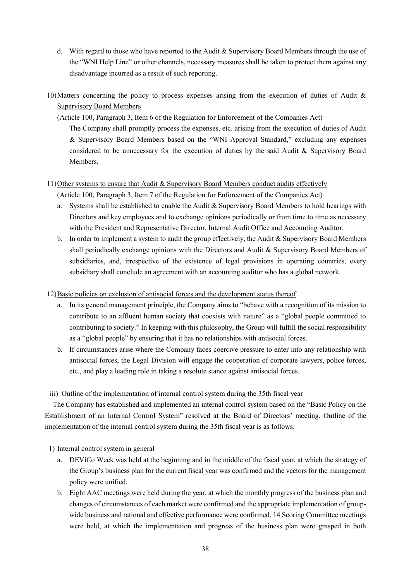- d. With regard to those who have reported to the Audit  $&$  Supervisory Board Members through the use of the "WNI Help Line" or other channels, necessary measures shall be taken to protect them against any disadvantage incurred as a result of such reporting.
- 10) Matters concerning the policy to process expenses arising from the execution of duties of Audit & Supervisory Board Members
	- (Article 100, Paragraph 3, Item 6 of the Regulation for Enforcement of the Companies Act)

The Company shall promptly process the expenses, etc. arising from the execution of duties of Audit & Supervisory Board Members based on the "WNI Approval Standard," excluding any expenses considered to be unnecessary for the execution of duties by the said Audit & Supervisory Board Members.

# 11) Other systems to ensure that Audit & Supervisory Board Members conduct audits effectively

(Article 100, Paragraph 3, Item 7 of the Regulation for Enforcement of the Companies Act)

- a. Systems shall be established to enable the Audit & Supervisory Board Members to hold hearings with Directors and key employees and to exchange opinions periodically or from time to time as necessary with the President and Representative Director, Internal Audit Office and Accounting Auditor.
- b. In order to implement a system to audit the group effectively, the Audit  $&$  Supervisory Board Members shall periodically exchange opinions with the Directors and Audit & Supervisory Board Members of subsidiaries, and, irrespective of the existence of legal provisions in operating countries, every subsidiary shall conclude an agreement with an accounting auditor who has a global network.

# 12) Basic policies on exclusion of antisocial forces and the development status thereof

- a. In its general management principle, the Company aims to "behave with a recognition of its mission to contribute to an affluent human society that coexists with nature" as a "global people committed to contributing to society." In keeping with this philosophy, the Group will fulfill the social responsibility as a "global people" by ensuring that it has no relationships with antisocial forces.
- b. If circumstances arise where the Company faces coercive pressure to enter into any relationship with antisocial forces, the Legal Division will engage the cooperation of corporate lawyers, police forces, etc., and play a leading role in taking a resolute stance against antisocial forces.

iii) Outline of the implementation of internal control system during the 35th fiscal year

The Company has established and implemented an internal control system based on the "Basic Policy on the Establishment of an Internal Control System" resolved at the Board of Directors' meeting. Outline of the implementation of the internal control system during the 35th fiscal year is as follows.

1) Internal control system in general

- a. DEViCo Week was held at the beginning and in the middle of the fiscal year, at which the strategy of the Group's business plan for the current fiscal year was confirmed and the vectors for the management policy were unified.
- b. Eight AAC meetings were held during the year, at which the monthly progress of the business plan and changes of circumstances of each market were confirmed and the appropriate implementation of groupwide business and rational and effective performance were confirmed. 14 Scoring Committee meetings were held, at which the implementation and progress of the business plan were grasped in both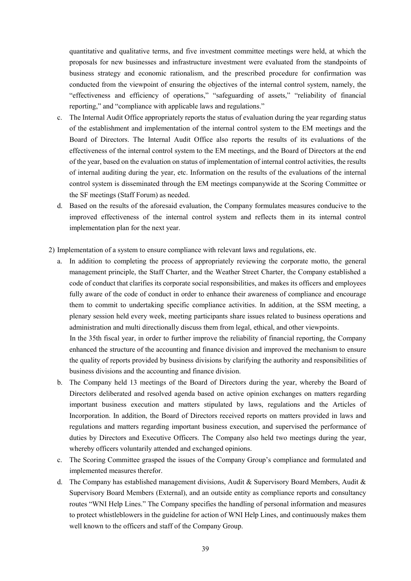quantitative and qualitative terms, and five investment committee meetings were held, at which the proposals for new businesses and infrastructure investment were evaluated from the standpoints of business strategy and economic rationalism, and the prescribed procedure for confirmation was conducted from the viewpoint of ensuring the objectives of the internal control system, namely, the "effectiveness and efficiency of operations," "safeguarding of assets," "reliability of financial reporting," and "compliance with applicable laws and regulations."

- c. The Internal Audit Office appropriately reports the status of evaluation during the year regarding status of the establishment and implementation of the internal control system to the EM meetings and the Board of Directors. The Internal Audit Office also reports the results of its evaluations of the effectiveness of the internal control system to the EM meetings, and the Board of Directors at the end of the year, based on the evaluation on status of implementation of internal control activities, the results of internal auditing during the year, etc. Information on the results of the evaluations of the internal control system is disseminated through the EM meetings companywide at the Scoring Committee or the SF meetings (Staff Forum) as needed.
- d. Based on the results of the aforesaid evaluation, the Company formulates measures conducive to the improved effectiveness of the internal control system and reflects them in its internal control implementation plan for the next year.
- 2) Implementation of a system to ensure compliance with relevant laws and regulations, etc.
	- a. In addition to completing the process of appropriately reviewing the corporate motto, the general management principle, the Staff Charter, and the Weather Street Charter, the Company established a code of conduct that clarifies its corporate social responsibilities, and makes its officers and employees fully aware of the code of conduct in order to enhance their awareness of compliance and encourage them to commit to undertaking specific compliance activities. In addition, at the SSM meeting, a plenary session held every week, meeting participants share issues related to business operations and administration and multi directionally discuss them from legal, ethical, and other viewpoints. In the 35th fiscal year, in order to further improve the reliability of financial reporting, the Company

enhanced the structure of the accounting and finance division and improved the mechanism to ensure the quality of reports provided by business divisions by clarifying the authority and responsibilities of business divisions and the accounting and finance division.

- b. The Company held 13 meetings of the Board of Directors during the year, whereby the Board of Directors deliberated and resolved agenda based on active opinion exchanges on matters regarding important business execution and matters stipulated by laws, regulations and the Articles of Incorporation. In addition, the Board of Directors received reports on matters provided in laws and regulations and matters regarding important business execution, and supervised the performance of duties by Directors and Executive Officers. The Company also held two meetings during the year, whereby officers voluntarily attended and exchanged opinions.
- c. The Scoring Committee grasped the issues of the Company Group's compliance and formulated and implemented measures therefor.
- d. The Company has established management divisions, Audit & Supervisory Board Members, Audit & Supervisory Board Members (External), and an outside entity as compliance reports and consultancy routes "WNI Help Lines." The Company specifies the handling of personal information and measures to protect whistleblowers in the guideline for action of WNI Help Lines, and continuously makes them well known to the officers and staff of the Company Group.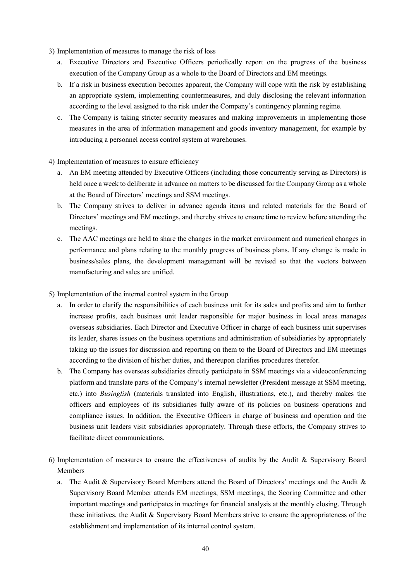- 3) Implementation of measures to manage the risk of loss
	- a. Executive Directors and Executive Officers periodically report on the progress of the business execution of the Company Group as a whole to the Board of Directors and EM meetings.
	- b. If a risk in business execution becomes apparent, the Company will cope with the risk by establishing an appropriate system, implementing countermeasures, and duly disclosing the relevant information according to the level assigned to the risk under the Company's contingency planning regime.
	- c. The Company is taking stricter security measures and making improvements in implementing those measures in the area of information management and goods inventory management, for example by introducing a personnel access control system at warehouses.
- 4) Implementation of measures to ensure efficiency
	- a. An EM meeting attended by Executive Officers (including those concurrently serving as Directors) is held once a week to deliberate in advance on matters to be discussed for the Company Group as a whole at the Board of Directors' meetings and SSM meetings.
	- b. The Company strives to deliver in advance agenda items and related materials for the Board of Directors' meetings and EM meetings, and thereby strives to ensure time to review before attending the meetings.
	- c. The AAC meetings are held to share the changes in the market environment and numerical changes in performance and plans relating to the monthly progress of business plans. If any change is made in business/sales plans, the development management will be revised so that the vectors between manufacturing and sales are unified.
- 5) Implementation of the internal control system in the Group
	- a. In order to clarify the responsibilities of each business unit for its sales and profits and aim to further increase profits, each business unit leader responsible for major business in local areas manages overseas subsidiaries. Each Director and Executive Officer in charge of each business unit supervises its leader, shares issues on the business operations and administration of subsidiaries by appropriately taking up the issues for discussion and reporting on them to the Board of Directors and EM meetings according to the division of his/her duties, and thereupon clarifies procedures therefor.
	- b. The Company has overseas subsidiaries directly participate in SSM meetings via a videoconferencing platform and translate parts of the Company's internal newsletter (President message at SSM meeting, etc.) into *Businglish* (materials translated into English, illustrations, etc.), and thereby makes the officers and employees of its subsidiaries fully aware of its policies on business operations and compliance issues. In addition, the Executive Officers in charge of business and operation and the business unit leaders visit subsidiaries appropriately. Through these efforts, the Company strives to facilitate direct communications.
- 6) Implementation of measures to ensure the effectiveness of audits by the Audit & Supervisory Board Members
	- a. The Audit & Supervisory Board Members attend the Board of Directors' meetings and the Audit & Supervisory Board Member attends EM meetings, SSM meetings, the Scoring Committee and other important meetings and participates in meetings for financial analysis at the monthly closing. Through these initiatives, the Audit & Supervisory Board Members strive to ensure the appropriateness of the establishment and implementation of its internal control system.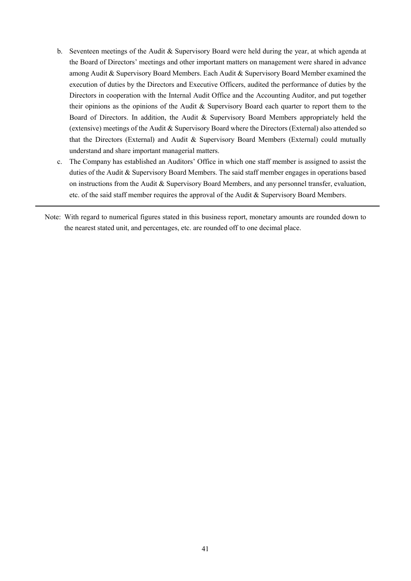- b. Seventeen meetings of the Audit & Supervisory Board were held during the year, at which agenda at the Board of Directors' meetings and other important matters on management were shared in advance among Audit & Supervisory Board Members. Each Audit & Supervisory Board Member examined the execution of duties by the Directors and Executive Officers, audited the performance of duties by the Directors in cooperation with the Internal Audit Office and the Accounting Auditor, and put together their opinions as the opinions of the Audit & Supervisory Board each quarter to report them to the Board of Directors. In addition, the Audit & Supervisory Board Members appropriately held the (extensive) meetings of the Audit & Supervisory Board where the Directors (External) also attended so that the Directors (External) and Audit & Supervisory Board Members (External) could mutually understand and share important managerial matters.
- c. The Company has established an Auditors' Office in which one staff member is assigned to assist the duties of the Audit & Supervisory Board Members. The said staff member engages in operations based on instructions from the Audit & Supervisory Board Members, and any personnel transfer, evaluation, etc. of the said staff member requires the approval of the Audit & Supervisory Board Members.
- Note: With regard to numerical figures stated in this business report, monetary amounts are rounded down to the nearest stated unit, and percentages, etc. are rounded off to one decimal place.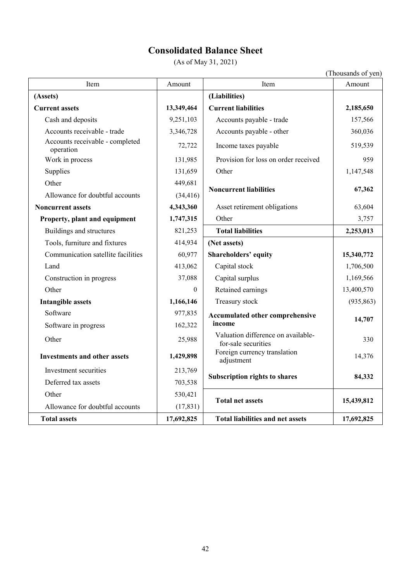# **Consolidated Balance Sheet**

(As of May 31, 2021)

|                                              |            |                                                           | (Thousands of yen) |
|----------------------------------------------|------------|-----------------------------------------------------------|--------------------|
| Item                                         | Amount     | Item                                                      | Amount             |
| (Assets)                                     |            | (Liabilities)                                             |                    |
| <b>Current assets</b>                        | 13,349,464 | <b>Current liabilities</b>                                | 2,185,650          |
| Cash and deposits                            | 9,251,103  | Accounts payable - trade                                  | 157,566            |
| Accounts receivable - trade                  | 3,346,728  | Accounts payable - other                                  | 360,036            |
| Accounts receivable - completed<br>operation | 72,722     | Income taxes payable                                      | 519,539            |
| Work in process                              | 131,985    | Provision for loss on order received                      | 959                |
| Supplies                                     | 131,659    | Other                                                     | 1,147,548          |
| Other                                        | 449,681    | <b>Noncurrent liabilities</b>                             | 67,362             |
| Allowance for doubtful accounts              | (34, 416)  |                                                           |                    |
| <b>Noncurrent assets</b>                     | 4,343,360  | Asset retirement obligations                              | 63,604             |
| Property, plant and equipment                | 1,747,315  | Other                                                     | 3,757              |
| Buildings and structures                     | 821,253    | <b>Total liabilities</b>                                  | 2,253,013          |
| Tools, furniture and fixtures                | 414,934    | (Net assets)                                              |                    |
| Communication satellite facilities           | 60,977     | Shareholders' equity                                      | 15,340,772         |
| Land                                         | 413,062    | Capital stock                                             | 1,706,500          |
| Construction in progress                     | 37,088     | Capital surplus                                           | 1,169,566          |
| Other                                        | $\theta$   | Retained earnings                                         | 13,400,570         |
| <b>Intangible assets</b>                     | 1,166,146  | Treasury stock                                            | (935, 863)         |
| Software                                     | 977,835    | Accumulated other comprehensive                           |                    |
| Software in progress                         | 162,322    | income                                                    | 14,707             |
| Other                                        | 25,988     | Valuation difference on available-<br>for-sale securities | 330                |
| <b>Investments and other assets</b>          | 1,429,898  | Foreign currency translation<br>adjustment                | 14,376             |
| Investment securities                        | 213,769    | <b>Subscription rights to shares</b>                      | 84,332             |
| Deferred tax assets                          | 703,538    |                                                           |                    |
| Other                                        | 530,421    |                                                           |                    |
| Allowance for doubtful accounts              | (17, 831)  | <b>Total net assets</b>                                   | 15,439,812         |
| <b>Total assets</b>                          | 17,692,825 | <b>Total liabilities and net assets</b>                   | 17,692,825         |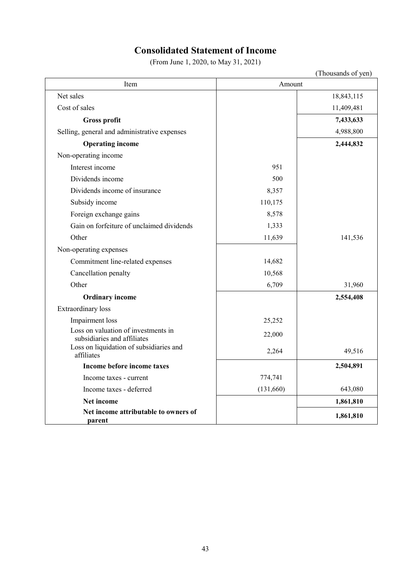# **Consolidated Statement of Income**

(From June 1, 2020, to May 31, 2021)

|                                                                    |           | (Thousands of yen) |  |  |
|--------------------------------------------------------------------|-----------|--------------------|--|--|
| Item                                                               | Amount    |                    |  |  |
| Net sales                                                          |           | 18,843,115         |  |  |
| Cost of sales                                                      |           | 11,409,481         |  |  |
| <b>Gross profit</b>                                                |           | 7,433,633          |  |  |
| Selling, general and administrative expenses                       |           | 4,988,800          |  |  |
| <b>Operating income</b>                                            |           | 2,444,832          |  |  |
| Non-operating income                                               |           |                    |  |  |
| Interest income                                                    | 951       |                    |  |  |
| Dividends income                                                   | 500       |                    |  |  |
| Dividends income of insurance                                      | 8,357     |                    |  |  |
| Subsidy income                                                     | 110,175   |                    |  |  |
| Foreign exchange gains                                             | 8,578     |                    |  |  |
| Gain on forfeiture of unclaimed dividends                          | 1,333     |                    |  |  |
| Other                                                              | 11,639    | 141,536            |  |  |
| Non-operating expenses                                             |           |                    |  |  |
| Commitment line-related expenses                                   | 14,682    |                    |  |  |
| Cancellation penalty                                               | 10,568    |                    |  |  |
| Other                                                              | 6,709     | 31,960             |  |  |
| <b>Ordinary income</b>                                             |           | 2,554,408          |  |  |
| <b>Extraordinary</b> loss                                          |           |                    |  |  |
| Impairment loss                                                    | 25,252    |                    |  |  |
| Loss on valuation of investments in<br>subsidiaries and affiliates | 22,000    |                    |  |  |
| Loss on liquidation of subsidiaries and<br>affiliates              | 2,264     | 49,516             |  |  |
| Income before income taxes                                         |           | 2,504,891          |  |  |
| Income taxes - current                                             | 774,741   |                    |  |  |
| Income taxes - deferred                                            | (131,660) | 643,080            |  |  |
| Net income                                                         |           | 1,861,810          |  |  |
| Net income attributable to owners of<br>parent                     |           | 1,861,810          |  |  |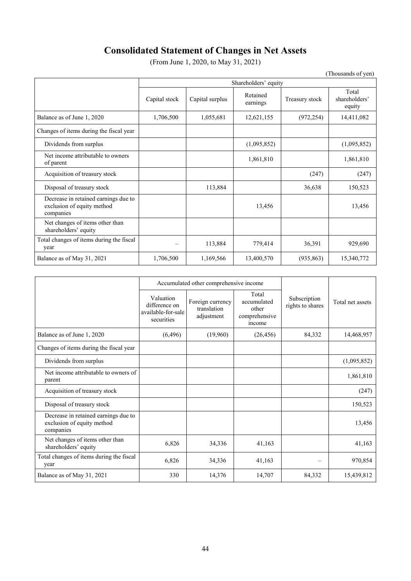# **Consolidated Statement of Changes in Net Assets**

(From June 1, 2020, to May 31, 2021)

|                                                                                 |                      |                 |                      |                | (Thousands of yen)               |  |
|---------------------------------------------------------------------------------|----------------------|-----------------|----------------------|----------------|----------------------------------|--|
|                                                                                 | Shareholders' equity |                 |                      |                |                                  |  |
|                                                                                 | Capital stock        | Capital surplus | Retained<br>earnings | Treasury stock | Total<br>shareholders'<br>equity |  |
| Balance as of June 1, 2020                                                      | 1,706,500            | 1,055,681       | 12,621,155           | (972, 254)     | 14,411,082                       |  |
| Changes of items during the fiscal year                                         |                      |                 |                      |                |                                  |  |
| Dividends from surplus                                                          |                      |                 | (1,095,852)          |                | (1,095,852)                      |  |
| Net income attributable to owners<br>of parent                                  |                      |                 | 1,861,810            |                | 1,861,810                        |  |
| Acquisition of treasury stock                                                   |                      |                 |                      | (247)          | (247)                            |  |
| Disposal of treasury stock                                                      |                      | 113,884         |                      | 36,638         | 150,523                          |  |
| Decrease in retained earnings due to<br>exclusion of equity method<br>companies |                      |                 | 13,456               |                | 13,456                           |  |
| Net changes of items other than<br>shareholders' equity                         |                      |                 |                      |                |                                  |  |
| Total changes of items during the fiscal<br>year                                |                      | 113,884         | 779,414              | 36,391         | 929,690                          |  |
| Balance as of May 31, 2021                                                      | 1,706,500            | 1,169,566       | 13,400,570           | (935, 863)     | 15,340,772                       |  |

|                                                                                 |                                                                | Accumulated other comprehensive income        |                                                          |                                  |                  |
|---------------------------------------------------------------------------------|----------------------------------------------------------------|-----------------------------------------------|----------------------------------------------------------|----------------------------------|------------------|
|                                                                                 | Valuation<br>difference on<br>available-for-sale<br>securities | Foreign currency<br>translation<br>adjustment | Total<br>accumulated<br>other<br>comprehensive<br>income | Subscription<br>rights to shares | Total net assets |
| Balance as of June 1, 2020                                                      | (6, 496)                                                       | (19,960)                                      | (26, 456)                                                | 84,332                           | 14,468,957       |
| Changes of items during the fiscal year                                         |                                                                |                                               |                                                          |                                  |                  |
| Dividends from surplus                                                          |                                                                |                                               |                                                          |                                  | (1,095,852)      |
| Net income attributable to owners of<br>parent                                  |                                                                |                                               |                                                          |                                  | 1,861,810        |
| Acquisition of treasury stock                                                   |                                                                |                                               |                                                          |                                  | (247)            |
| Disposal of treasury stock                                                      |                                                                |                                               |                                                          |                                  | 150,523          |
| Decrease in retained earnings due to<br>exclusion of equity method<br>companies |                                                                |                                               |                                                          |                                  | 13,456           |
| Net changes of items other than<br>shareholders' equity                         | 6,826                                                          | 34,336                                        | 41,163                                                   |                                  | 41,163           |
| Total changes of items during the fiscal<br>year                                | 6,826                                                          | 34,336                                        | 41,163                                                   | $\overline{\phantom{0}}$         | 970,854          |
| Balance as of May 31, 2021                                                      | 330                                                            | 14,376                                        | 14,707                                                   | 84,332                           | 15,439,812       |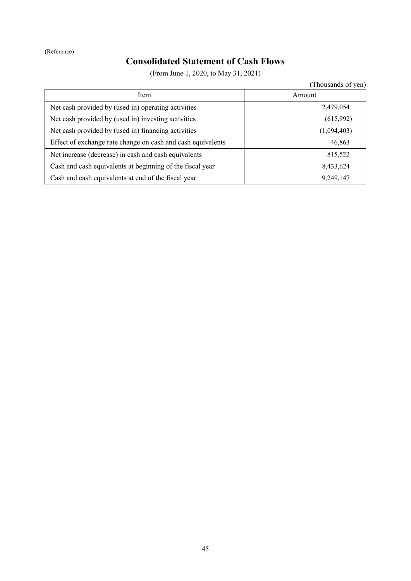# **Consolidated Statement of Cash Flows**

(From June 1, 2020, to May 31, 2021)

(Thousands of yen) Item Amount Net cash provided by (used in) operating activities 2,479,054 Net cash provided by (used in) investing activities (615,992) Net cash provided by (used in) financing activities (1,094,403) Effect of exchange rate change on cash and cash equivalents 46,863 Net increase (decrease) in cash and cash equivalents 815,522 Cash and cash equivalents at beginning of the fiscal year 8,433,624 Cash and cash equivalents at end of the fiscal year 9,249,147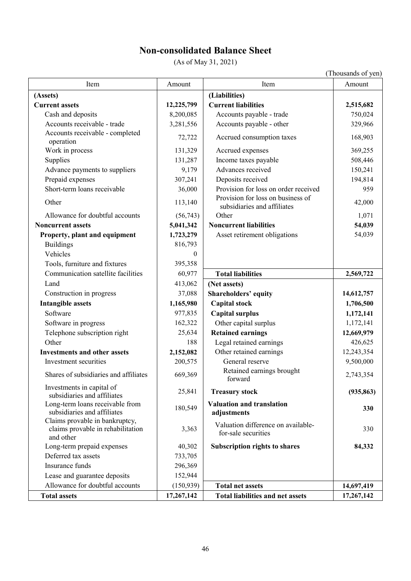# **Non-consolidated Balance Sheet**

(As of May 31, 2021)

|                                                                                  |            |                                                                  | (Thousands of yen) |
|----------------------------------------------------------------------------------|------------|------------------------------------------------------------------|--------------------|
| Item                                                                             | Amount     | Item                                                             | Amount             |
| (Assets)                                                                         |            | (Liabilities)                                                    |                    |
| <b>Current assets</b>                                                            | 12,225,799 | <b>Current liabilities</b>                                       | 2,515,682          |
| Cash and deposits                                                                | 8,200,085  | Accounts payable - trade                                         | 750,024            |
| Accounts receivable - trade                                                      | 3,281,556  | Accounts payable - other                                         | 329,966            |
| Accounts receivable - completed                                                  | 72,722     | Accrued consumption taxes                                        | 168,903            |
| operation                                                                        |            |                                                                  |                    |
| Work in process                                                                  | 131,329    | Accrued expenses                                                 | 369,255            |
| Supplies                                                                         | 131,287    | Income taxes payable                                             | 508,446            |
| Advance payments to suppliers                                                    | 9,179      | Advances received                                                | 150,241            |
| Prepaid expenses                                                                 | 307,241    | Deposits received                                                | 194,814            |
| Short-term loans receivable                                                      | 36,000     | Provision for loss on order received                             | 959                |
| Other                                                                            | 113,140    | Provision for loss on business of<br>subsidiaries and affiliates | 42,000             |
| Allowance for doubtful accounts                                                  | (56,743)   | Other                                                            | 1,071              |
| <b>Noncurrent assets</b>                                                         | 5,041,342  | <b>Noncurrent liabilities</b>                                    | 54,039             |
| Property, plant and equipment                                                    | 1,723,279  | Asset retirement obligations                                     | 54,039             |
| <b>Buildings</b>                                                                 | 816,793    |                                                                  |                    |
| Vehicles                                                                         | $\theta$   |                                                                  |                    |
| Tools, furniture and fixtures                                                    | 395,358    |                                                                  |                    |
| Communication satellite facilities                                               | 60,977     | <b>Total liabilities</b>                                         | 2,569,722          |
| Land                                                                             | 413,062    | (Net assets)                                                     |                    |
| Construction in progress                                                         | 37,088     | Shareholders' equity                                             | 14,612,757         |
| <b>Intangible assets</b>                                                         | 1,165,980  | <b>Capital stock</b>                                             | 1,706,500          |
| Software                                                                         | 977,835    | <b>Capital surplus</b>                                           | 1,172,141          |
| Software in progress                                                             | 162,322    | Other capital surplus                                            | 1,172,141          |
| Telephone subscription right                                                     | 25,634     | <b>Retained earnings</b>                                         | 12,669,979         |
| Other                                                                            | 188        | Legal retained earnings                                          | 426,625            |
| <b>Investments and other assets</b>                                              | 2,152,082  | Other retained earnings                                          | 12,243,354         |
| Investment securities                                                            | 200,575    | General reserve                                                  | 9,500,000          |
| Shares of subsidiaries and affiliates                                            | 669,369    | Retained earnings brought<br>forward                             | 2,743,354          |
| Investments in capital of<br>subsidiaries and affiliates                         | 25,841     | <b>Treasury stock</b>                                            | (935, 863)         |
| Long-term loans receivable from<br>subsidiaries and affiliates                   | 180,549    | <b>Valuation and translation</b><br>adjustments                  | 330                |
| Claims provable in bankruptcy,<br>claims provable in rehabilitation<br>and other | 3,363      | Valuation difference on available-<br>for-sale securities        | 330                |
| Long-term prepaid expenses                                                       | 40,302     | <b>Subscription rights to shares</b>                             | 84,332             |
| Deferred tax assets                                                              | 733,705    |                                                                  |                    |
| Insurance funds                                                                  | 296,369    |                                                                  |                    |
| Lease and guarantee deposits                                                     | 152,944    |                                                                  |                    |
| Allowance for doubtful accounts                                                  | (150, 939) | <b>Total net assets</b>                                          | 14,697,419         |
| <b>Total assets</b>                                                              | 17,267,142 | <b>Total liabilities and net assets</b>                          | 17,267,142         |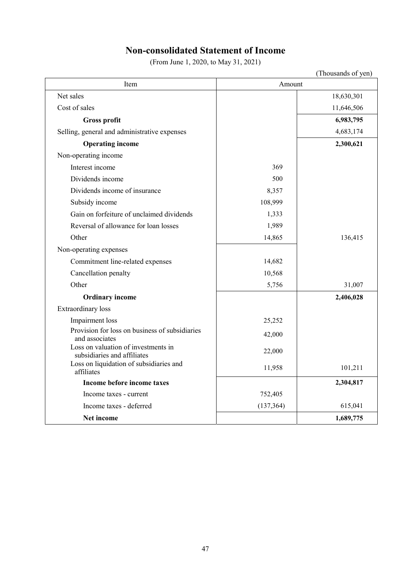# **Non-consolidated Statement of Income**

(From June 1, 2020, to May 31, 2021)

|                                                                    |            | (Thousands of yen) |  |  |
|--------------------------------------------------------------------|------------|--------------------|--|--|
| Item                                                               | Amount     |                    |  |  |
| Net sales                                                          |            | 18,630,301         |  |  |
| Cost of sales                                                      |            | 11,646,506         |  |  |
| <b>Gross profit</b>                                                |            | 6,983,795          |  |  |
| Selling, general and administrative expenses                       |            | 4,683,174          |  |  |
| <b>Operating income</b>                                            |            | 2,300,621          |  |  |
| Non-operating income                                               |            |                    |  |  |
| Interest income                                                    | 369        |                    |  |  |
| Dividends income                                                   | 500        |                    |  |  |
| Dividends income of insurance                                      | 8,357      |                    |  |  |
| Subsidy income                                                     | 108,999    |                    |  |  |
| Gain on forfeiture of unclaimed dividends                          | 1,333      |                    |  |  |
| Reversal of allowance for loan losses                              | 1,989      |                    |  |  |
| Other                                                              | 14,865     | 136,415            |  |  |
| Non-operating expenses                                             |            |                    |  |  |
| Commitment line-related expenses                                   | 14,682     |                    |  |  |
| Cancellation penalty                                               | 10,568     |                    |  |  |
| Other                                                              | 5,756      | 31,007             |  |  |
| <b>Ordinary income</b>                                             |            | 2,406,028          |  |  |
| <b>Extraordinary</b> loss                                          |            |                    |  |  |
| Impairment loss                                                    | 25,252     |                    |  |  |
| Provision for loss on business of subsidiaries<br>and associates   | 42,000     |                    |  |  |
| Loss on valuation of investments in<br>subsidiaries and affiliates | 22,000     |                    |  |  |
| Loss on liquidation of subsidiaries and<br>affiliates              | 11,958     | 101,211            |  |  |
| Income before income taxes                                         |            | 2,304,817          |  |  |
| Income taxes - current                                             | 752,405    |                    |  |  |
| Income taxes - deferred                                            | (137, 364) | 615,041            |  |  |
| Net income                                                         |            | 1,689,775          |  |  |

47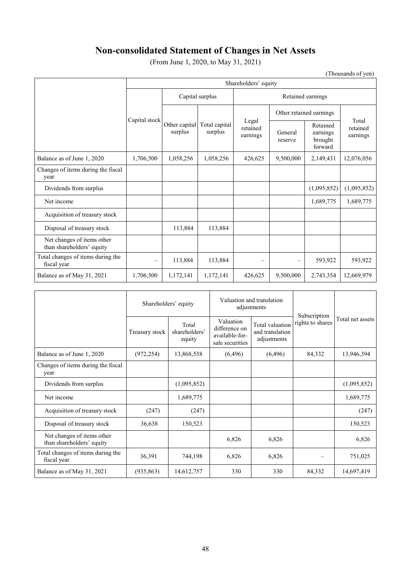# **Non-consolidated Statement of Changes in Net Assets**

(From June 1, 2020, to May 31, 2021)

(Thousands of yen)

|                                                         | Shareholders' equity     |                          |                          |                               |                          |                                            |                               |
|---------------------------------------------------------|--------------------------|--------------------------|--------------------------|-------------------------------|--------------------------|--------------------------------------------|-------------------------------|
|                                                         |                          | Capital surplus          |                          | Retained earnings             |                          |                                            |                               |
|                                                         | Capital stock            | Other capital<br>surplus | Total capital<br>surplus | Legal<br>retained<br>earnings | Other retained earnings  |                                            |                               |
|                                                         |                          |                          |                          |                               | General<br>reserve       | Retained<br>earnings<br>brought<br>forward | Total<br>retained<br>earnings |
| Balance as of June 1, 2020                              | 1,706,500                | 1,058,256                | 1,058,256                | 426,625                       | 9,500,000                | 2,149,431                                  | 12,076,056                    |
| Changes of items during the fiscal<br>year              |                          |                          |                          |                               |                          |                                            |                               |
| Dividends from surplus                                  |                          |                          |                          |                               |                          | (1,095,852)                                | (1,095,852)                   |
| Net income                                              |                          |                          |                          |                               |                          | 1,689,775                                  | 1,689,775                     |
| Acquisition of treasury stock                           |                          |                          |                          |                               |                          |                                            |                               |
| Disposal of treasury stock                              |                          | 113,884                  | 113,884                  |                               |                          |                                            |                               |
| Net changes of items other<br>than shareholders' equity |                          |                          |                          |                               |                          |                                            |                               |
| Total changes of items during the<br>fiscal year        | $\overline{\phantom{0}}$ | 113,884                  | 113,884                  | -                             | $\overline{\phantom{m}}$ | 593,922                                    | 593,922                       |
| Balance as of May 31, 2021                              | 1,706,500                | 1,172,141                | 1,172,141                | 426,625                       | 9,500,000                | 2,743,354                                  | 12,669,979                    |

|                                                         | Shareholders' equity |                                  |                                                                 | Valuation and translation<br>adjustments          |                                  |                  |
|---------------------------------------------------------|----------------------|----------------------------------|-----------------------------------------------------------------|---------------------------------------------------|----------------------------------|------------------|
|                                                         | Treasury stock       | Total<br>shareholders'<br>equity | Valuation<br>difference on<br>available-for-<br>sale securities | Total valuation<br>and translation<br>adjustments | Subscription<br>rights to shares | Total net assets |
| Balance as of June 1, 2020                              | (972, 254)           | 13,868,558                       | (6, 496)                                                        | (6, 496)                                          | 84,332                           | 13,946,394       |
| Changes of items during the fiscal<br>year              |                      |                                  |                                                                 |                                                   |                                  |                  |
| Dividends from surplus                                  |                      | (1,095,852)                      |                                                                 |                                                   |                                  | (1,095,852)      |
| Net income                                              |                      | 1,689,775                        |                                                                 |                                                   |                                  | 1,689,775        |
| Acquisition of treasury stock                           | (247)                | (247)                            |                                                                 |                                                   |                                  | (247)            |
| Disposal of treasury stock                              | 36,638               | 150,523                          |                                                                 |                                                   |                                  | 150,523          |
| Net changes of items other<br>than shareholders' equity |                      |                                  | 6,826                                                           | 6,826                                             |                                  | 6,826            |
| Total changes of items during the<br>fiscal year        | 36,391               | 744,198                          | 6,826                                                           | 6,826                                             |                                  | 751,025          |
| Balance as of May 31, 2021                              | (935, 863)           | 14,612,757                       | 330                                                             | 330                                               | 84,332                           | 14,697,419       |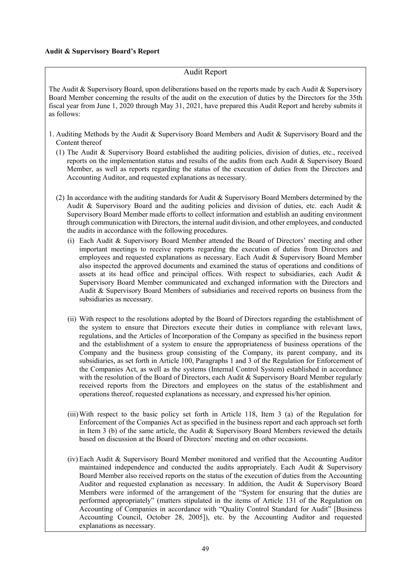### **Audit & Supervisory Board's Report**

## Audit Report

The Audit & Supervisory Board, upon deliberations based on the reports made by each Audit & Supervisory Board Member concerning the results of the audit on the execution of duties by the Directors for the 35th fiscal year from June 1, 2020 through May 31, 2021, have prepared this Audit Report and hereby submits it as follows:

- 1. Auditing Methods by the Audit & Supervisory Board Members and Audit & Supervisory Board and the Content thereof
	- (1) The Audit & Supervisory Board established the auditing policies, division of duties, etc., received reports on the implementation status and results of the audits from each Audit & Supervisory Board Member, as well as reports regarding the status of the execution of duties from the Directors and Accounting Auditor, and requested explanations as necessary.
	- (2) In accordance with the auditing standards for Audit & Supervisory Board Members determined by the Audit & Supervisory Board and the auditing policies and division of duties, etc. each Audit & Supervisory Board Member made efforts to collect information and establish an auditing environment through communication with Directors, the internal audit division, and other employees, and conducted the audits in accordance with the following procedures.
		- (i) Each Audit & Supervisory Board Member attended the Board of Directors' meeting and other important meetings to receive reports regarding the execution of duties from Directors and employees and requested explanations as necessary. Each Audit & Supervisory Board Member also inspected the approved documents and examined the status of operations and conditions of assets at its head office and principal offices. With respect to subsidiaries, each Audit & Supervisory Board Member communicated and exchanged information with the Directors and Audit & Supervisory Board Members of subsidiaries and received reports on business from the subsidiaries as necessary.
		- (ii) With respect to the resolutions adopted by the Board of Directors regarding the establishment of the system to ensure that Directors execute their duties in compliance with relevant laws, regulations, and the Articles of Incorporation of the Company as specified in the business report and the establishment of a system to ensure the appropriateness of business operations of the Company and the business group consisting of the Company, its parent company, and its subsidiaries, as set forth in Article 100, Paragraphs 1 and 3 of the Regulation for Enforcement of the Companies Act, as well as the systems (Internal Control System) established in accordance with the resolution of the Board of Directors, each Audit & Supervisory Board Member regularly received reports from the Directors and employees on the status of the establishment and operations thereof, requested explanations as necessary, and expressed his/her opinion.
		- (iii) With respect to the basic policy set forth in Article 118, Item 3 (a) of the Regulation for Enforcement of the Companies Act as specified in the business report and each approach set forth in Item 3 (b) of the same article, the Audit  $\&$  Supervisory Board Members reviewed the details based on discussion at the Board of Directors' meeting and on other occasions.
		- (iv) Each Audit & Supervisory Board Member monitored and verified that the Accounting Auditor maintained independence and conducted the audits appropriately. Each Audit & Supervisory Board Member also received reports on the status of the execution of duties from the Accounting Auditor and requested explanation as necessary. In addition, the Audit & Supervisory Board Members were informed of the arrangement of the "System for ensuring that the duties are performed appropriately" (matters stipulated in the items of Article 131 of the Regulation on Accounting of Companies in accordance with "Quality Control Standard for Audit" [Business Accounting Council, October 28, 2005]), etc. by the Accounting Auditor and requested explanations as necessary.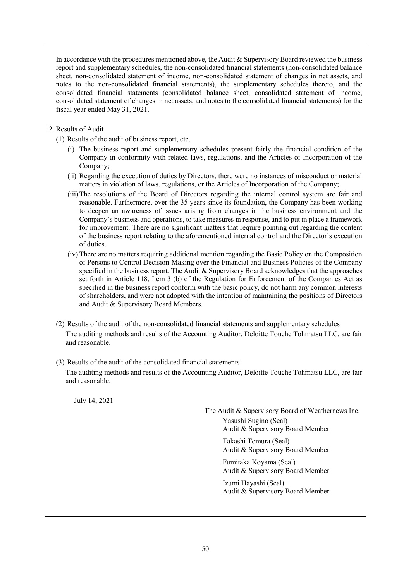In accordance with the procedures mentioned above, the Audit & Supervisory Board reviewed the business report and supplementary schedules, the non-consolidated financial statements (non-consolidated balance sheet, non-consolidated statement of income, non-consolidated statement of changes in net assets, and notes to the non-consolidated financial statements), the supplementary schedules thereto, and the consolidated financial statements (consolidated balance sheet, consolidated statement of income, consolidated statement of changes in net assets, and notes to the consolidated financial statements) for the fiscal year ended May 31, 2021.

2. Results of Audit

(1) Results of the audit of business report, etc.

- (i) The business report and supplementary schedules present fairly the financial condition of the Company in conformity with related laws, regulations, and the Articles of Incorporation of the Company;
- (ii) Regarding the execution of duties by Directors, there were no instances of misconduct or material matters in violation of laws, regulations, or the Articles of Incorporation of the Company;
- (iii) The resolutions of the Board of Directors regarding the internal control system are fair and reasonable. Furthermore, over the 35 years since its foundation, the Company has been working to deepen an awareness of issues arising from changes in the business environment and the Company's business and operations, to take measures in response, and to put in place a framework for improvement. There are no significant matters that require pointing out regarding the content of the business report relating to the aforementioned internal control and the Director's execution of duties.
- (iv) There are no matters requiring additional mention regarding the Basic Policy on the Composition of Persons to Control Decision-Making over the Financial and Business Policies of the Company specified in the business report. The Audit  $&$  Supervisory Board acknowledges that the approaches set forth in Article 118, Item 3 (b) of the Regulation for Enforcement of the Companies Act as specified in the business report conform with the basic policy, do not harm any common interests of shareholders, and were not adopted with the intention of maintaining the positions of Directors and Audit & Supervisory Board Members.
- (2) Results of the audit of the non-consolidated financial statements and supplementary schedules The auditing methods and results of the Accounting Auditor, Deloitte Touche Tohmatsu LLC, are fair and reasonable.
- (3) Results of the audit of the consolidated financial statements The auditing methods and results of the Accounting Auditor, Deloitte Touche Tohmatsu LLC, are fair and reasonable.

July 14, 2021

The Audit & Supervisory Board of Weathernews Inc. Yasushi Sugino (Seal) Audit & Supervisory Board Member

> Takashi Tomura (Seal) Audit & Supervisory Board Member

> Fumitaka Koyama (Seal) Audit & Supervisory Board Member

> Izumi Hayashi (Seal) Audit & Supervisory Board Member